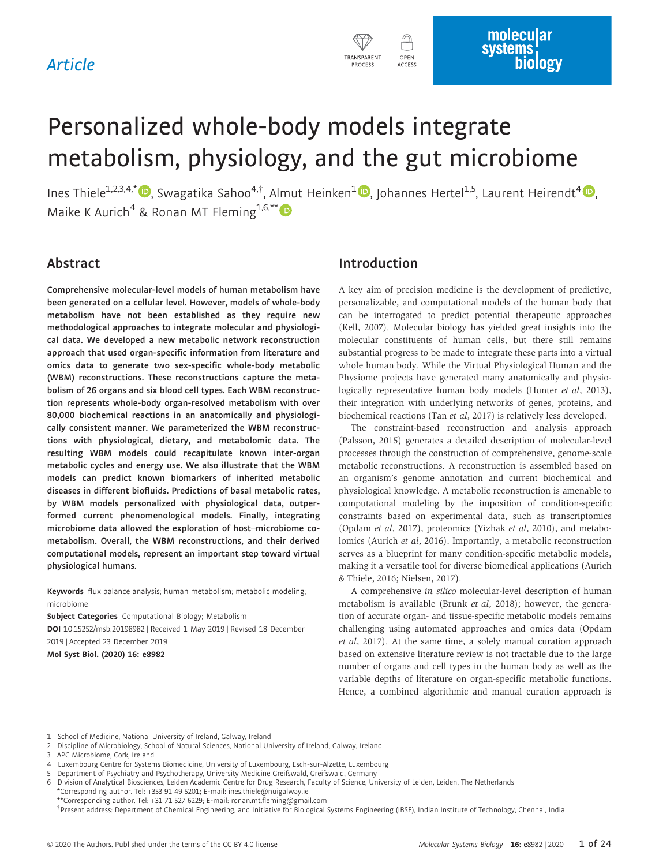

# Personalized whole-body models integrate metabolism, physiology, and the gut microbiome

Ines Thiele<sup>1,2,3,4,\*</sup> <sup>D</sup>, Swagatika Sahoo<sup>4,†</sup>, Almut Heinken<sup>1</sup> D, Johannes Hertel<sup>1,5</sup>, Laurent Heirendt<sup>4</sup> , Maike K Aurich<sup>4</sup> & Ronan MT Fleming<sup>1,6,\*\*</sup>

# Abstract

Comprehensive molecular-level models of human metabolism have been generated on a cellular level. However, models of whole-body metabolism have not been established as they require new methodological approaches to integrate molecular and physiological data. We developed a new metabolic network reconstruction approach that used organ-specific information from literature and omics data to generate two sex-specific whole-body metabolic (WBM) reconstructions. These reconstructions capture the metabolism of 26 organs and six blood cell types. Each WBM reconstruction represents whole-body organ-resolved metabolism with over 80,000 biochemical reactions in an anatomically and physiologically consistent manner. We parameterized the WBM reconstructions with physiological, dietary, and metabolomic data. The resulting WBM models could recapitulate known inter-organ metabolic cycles and energy use. We also illustrate that the WBM models can predict known biomarkers of inherited metabolic diseases in different biofluids. Predictions of basal metabolic rates, by WBM models personalized with physiological data, outperformed current phenomenological models. Finally, integrating microbiome data allowed the exploration of host–microbiome cometabolism. Overall, the WBM reconstructions, and their derived computational models, represent an important step toward virtual physiological humans.

Keywords flux balance analysis; human metabolism; metabolic modeling; microbiome

Subject Categories Computational Biology; Metabolism DOI 10.15252/msb.20198982 | Received 1 May 2019 | Revised 18 December 2019 | Accepted 23 December 2019 Mol Syst Biol. (2020) 16: e8982

# Introduction

A key aim of precision medicine is the development of predictive, personalizable, and computational models of the human body that can be interrogated to predict potential therapeutic approaches (Kell, 2007). Molecular biology has yielded great insights into the molecular constituents of human cells, but there still remains substantial progress to be made to integrate these parts into a virtual whole human body. While the Virtual Physiological Human and the Physiome projects have generated many anatomically and physiologically representative human body models (Hunter et al, 2013), their integration with underlying networks of genes, proteins, and biochemical reactions (Tan et al, 2017) is relatively less developed.

The constraint-based reconstruction and analysis approach (Palsson, 2015) generates a detailed description of molecular-level processes through the construction of comprehensive, genome-scale metabolic reconstructions. A reconstruction is assembled based on an organism's genome annotation and current biochemical and physiological knowledge. A metabolic reconstruction is amenable to computational modeling by the imposition of condition-specific constraints based on experimental data, such as transcriptomics (Opdam et al, 2017), proteomics (Yizhak et al, 2010), and metabolomics (Aurich et al, 2016). Importantly, a metabolic reconstruction serves as a blueprint for many condition-specific metabolic models, making it a versatile tool for diverse biomedical applications (Aurich & Thiele, 2016; Nielsen, 2017).

A comprehensive in silico molecular-level description of human metabolism is available (Brunk et al, 2018); however, the generation of accurate organ- and tissue-specific metabolic models remains challenging using automated approaches and omics data (Opdam et al, 2017). At the same time, a solely manual curation approach based on extensive literature review is not tractable due to the large number of organs and cell types in the human body as well as the variable depths of literature on organ-specific metabolic functions. Hence, a combined algorithmic and manual curation approach is

2 Discipline of Microbiology, School of Natural Sciences, National University of Ireland, Galway, Ireland

<sup>1</sup> School of Medicine, National University of Ireland, Galway, Ireland

<sup>3</sup> APC Microbiome, Cork, Ireland

<sup>4</sup> Luxembourg Centre for Systems Biomedicine, University of Luxembourg, Esch-sur-Alzette, Luxembourg

<sup>5</sup> Department of Psychiatry and Psychotherapy, University Medicine Greifswald, Greifswald, Germany

<sup>6</sup> Division of Analytical Biosciences, Leiden Academic Centre for Drug Research, Faculty of Science, University of Leiden, Leiden, The Netherlands

<sup>\*</sup>Corresponding author. Tel: +353 91 49 5201; E-mail: ines.thiele@nuigalway.ie

<sup>\*\*</sup>Corresponding author. Tel: +31 71 527 6229; E-mail: ronan.mt.fleming@gmail.com

<sup>†</sup> Present address: Department of Chemical Engineering, and Initiative for Biological Systems Engineering (IBSE), Indian Institute of Technology, Chennai, India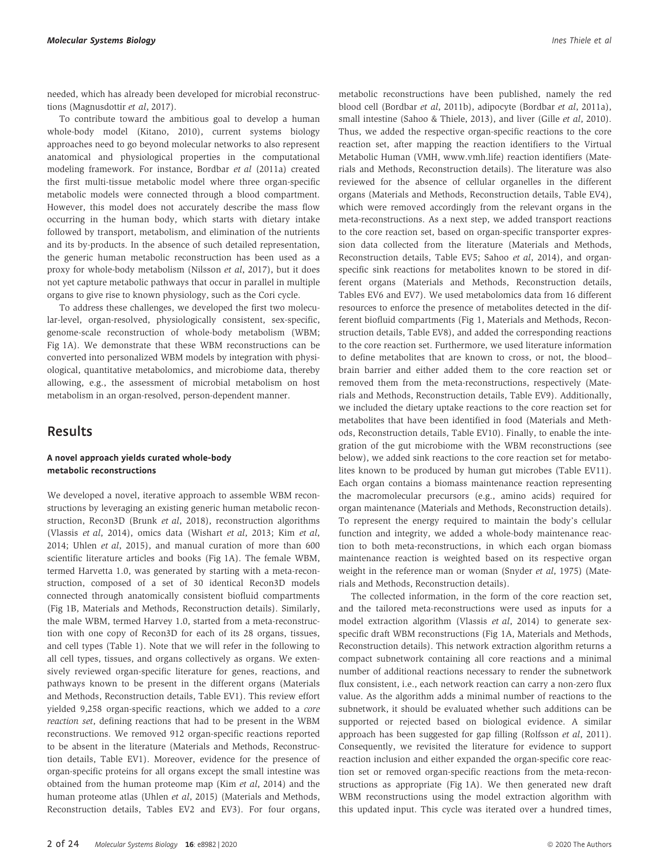needed, which has already been developed for microbial reconstructions (Magnusdottir et al, 2017).

To contribute toward the ambitious goal to develop a human whole-body model (Kitano, 2010), current systems biology approaches need to go beyond molecular networks to also represent anatomical and physiological properties in the computational modeling framework. For instance, Bordbar et al (2011a) created the first multi-tissue metabolic model where three organ-specific metabolic models were connected through a blood compartment. However, this model does not accurately describe the mass flow occurring in the human body, which starts with dietary intake followed by transport, metabolism, and elimination of the nutrients and its by-products. In the absence of such detailed representation, the generic human metabolic reconstruction has been used as a proxy for whole-body metabolism (Nilsson et al, 2017), but it does not yet capture metabolic pathways that occur in parallel in multiple organs to give rise to known physiology, such as the Cori cycle.

To address these challenges, we developed the first two molecular-level, organ-resolved, physiologically consistent, sex-specific, genome-scale reconstruction of whole-body metabolism (WBM; Fig 1A). We demonstrate that these WBM reconstructions can be converted into personalized WBM models by integration with physiological, quantitative metabolomics, and microbiome data, thereby allowing, e.g., the assessment of microbial metabolism on host metabolism in an organ-resolved, person-dependent manner.

# Results

### A novel approach yields curated whole-body metabolic reconstructions

We developed a novel, iterative approach to assemble WBM reconstructions by leveraging an existing generic human metabolic reconstruction, Recon3D (Brunk et al, 2018), reconstruction algorithms (Vlassis et al, 2014), omics data (Wishart et al, 2013; Kim et al, 2014; Uhlen et al, 2015), and manual curation of more than 600 scientific literature articles and books (Fig 1A). The female WBM, termed Harvetta 1.0, was generated by starting with a meta-reconstruction, composed of a set of 30 identical Recon3D models connected through anatomically consistent biofluid compartments (Fig 1B, Materials and Methods, Reconstruction details). Similarly, the male WBM, termed Harvey 1.0, started from a meta-reconstruction with one copy of Recon3D for each of its 28 organs, tissues, and cell types (Table 1). Note that we will refer in the following to all cell types, tissues, and organs collectively as organs. We extensively reviewed organ-specific literature for genes, reactions, and pathways known to be present in the different organs (Materials and Methods, Reconstruction details, Table EV1). This review effort yielded 9,258 organ-specific reactions, which we added to a core reaction set, defining reactions that had to be present in the WBM reconstructions. We removed 912 organ-specific reactions reported to be absent in the literature (Materials and Methods, Reconstruction details, Table EV1). Moreover, evidence for the presence of organ-specific proteins for all organs except the small intestine was obtained from the human proteome map (Kim et al, 2014) and the human proteome atlas (Uhlen et al, 2015) (Materials and Methods, Reconstruction details, Tables EV2 and EV3). For four organs, metabolic reconstructions have been published, namely the red blood cell (Bordbar et al, 2011b), adipocyte (Bordbar et al, 2011a), small intestine (Sahoo & Thiele, 2013), and liver (Gille et al, 2010). Thus, we added the respective organ-specific reactions to the core reaction set, after mapping the reaction identifiers to the Virtual Metabolic Human (VMH, www.vmh.life) reaction identifiers (Materials and Methods, Reconstruction details). The literature was also reviewed for the absence of cellular organelles in the different organs (Materials and Methods, Reconstruction details, Table EV4), which were removed accordingly from the relevant organs in the meta-reconstructions. As a next step, we added transport reactions to the core reaction set, based on organ-specific transporter expression data collected from the literature (Materials and Methods, Reconstruction details, Table EV5; Sahoo et al, 2014), and organspecific sink reactions for metabolites known to be stored in different organs (Materials and Methods, Reconstruction details, Tables EV6 and EV7). We used metabolomics data from 16 different resources to enforce the presence of metabolites detected in the different biofluid compartments (Fig 1, Materials and Methods, Reconstruction details, Table EV8), and added the corresponding reactions to the core reaction set. Furthermore, we used literature information to define metabolites that are known to cross, or not, the blood– brain barrier and either added them to the core reaction set or removed them from the meta-reconstructions, respectively (Materials and Methods, Reconstruction details, Table EV9). Additionally, we included the dietary uptake reactions to the core reaction set for metabolites that have been identified in food (Materials and Methods, Reconstruction details, Table EV10). Finally, to enable the integration of the gut microbiome with the WBM reconstructions (see below), we added sink reactions to the core reaction set for metabolites known to be produced by human gut microbes (Table EV11). Each organ contains a biomass maintenance reaction representing the macromolecular precursors (e.g., amino acids) required for organ maintenance (Materials and Methods, Reconstruction details). To represent the energy required to maintain the body's cellular function and integrity, we added a whole-body maintenance reaction to both meta-reconstructions, in which each organ biomass maintenance reaction is weighted based on its respective organ weight in the reference man or woman (Snyder et al, 1975) (Materials and Methods, Reconstruction details).

The collected information, in the form of the core reaction set, and the tailored meta-reconstructions were used as inputs for a model extraction algorithm (Vlassis et al, 2014) to generate sexspecific draft WBM reconstructions (Fig 1A, Materials and Methods, Reconstruction details). This network extraction algorithm returns a compact subnetwork containing all core reactions and a minimal number of additional reactions necessary to render the subnetwork flux consistent, i.e., each network reaction can carry a non-zero flux value. As the algorithm adds a minimal number of reactions to the subnetwork, it should be evaluated whether such additions can be supported or rejected based on biological evidence. A similar approach has been suggested for gap filling (Rolfsson et al, 2011). Consequently, we revisited the literature for evidence to support reaction inclusion and either expanded the organ-specific core reaction set or removed organ-specific reactions from the meta-reconstructions as appropriate (Fig 1A). We then generated new draft WBM reconstructions using the model extraction algorithm with this updated input. This cycle was iterated over a hundred times,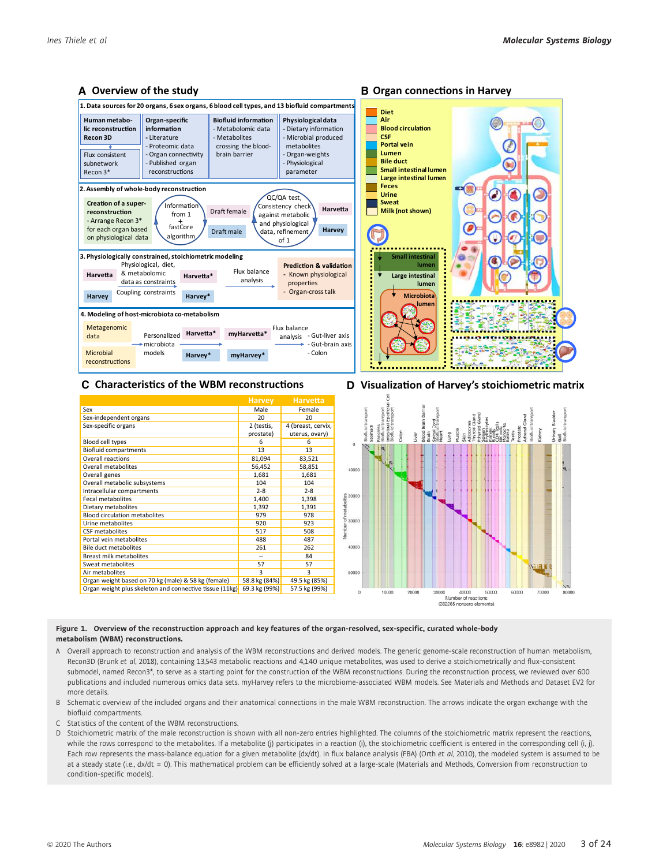

# **C** Characteristics of the WBM reconstructions **D**

|                                                         | <b>Harvey</b>  | <b>Harvetta</b>    |
|---------------------------------------------------------|----------------|--------------------|
| Sex                                                     | Male           | Female             |
| Sex-independent organs                                  | 20             | 20                 |
| Sex-specific organs                                     | 2 (testis,     | 4 (breast, cervix, |
|                                                         | prostate)      | uterus, ovary)     |
| Blood cell types                                        | 6              | 6                  |
| <b>Biofluid compartments</b>                            | 13             | 13                 |
| Overall reactions                                       | 81,094         | 83,521             |
| <b>Overall metabolites</b>                              | 56,452         | 58,851             |
| Overall genes                                           | 1.681          | 1.681              |
| Overall metabolic subsystems                            | 104            | 104                |
| Intracellular compartments                              | $2 - 8$        | $2 - 8$            |
| <b>Fecal metabolites</b>                                | 1,400          | 1,398              |
| Dietary metabolites                                     | 1,392          | 1,391              |
| <b>Blood circulation metabolites</b>                    | 979            | 978                |
| Urine metabolites                                       | 920            | 923                |
| <b>CSF</b> metabolites                                  | 517            | 508                |
| Portal vein metabolites                                 | 488            | 487                |
| <b>Bile duct metabolites</b>                            | 261            | 262                |
| <b>Breast milk metabolites</b>                          | $\overline{a}$ | 84                 |
| Sweat metabolites                                       | 57             | 57                 |
| Air metabolites                                         | 3              | 3                  |
| Organ weight based on 70 kg (male) & 58 kg (female)     | 58.8 kg (84%)  | 49.5 kg (85%)      |
| Organ weight plus skeleton and connective tissue (11kg) | 69.3 kg (99%)  | 57.5 kg (99%)      |

**Visualization of Harvey's stoichiometric matrix** 



#### Figure 1. Overview of the reconstruction approach and key features of the organ-resolved, sex-specific, curated whole-body metabolism (WBM) reconstructions.

- A Overall approach to reconstruction and analysis of the WBM reconstructions and derived models. The generic genome-scale reconstruction of human metabolism, Recon3D (Brunk et al, 2018), containing 13,543 metabolic reactions and 4,140 unique metabolites, was used to derive a stoichiometrically and flux-consistent submodel, named Recon3\*, to serve as a starting point for the construction of the WBM reconstructions. During the reconstruction process, we reviewed over 600 publications and included numerous omics data sets. myHarvey refers to the microbiome-associated WBM models. See Materials and Methods and Dataset EV2 for more details.
- B Schematic overview of the included organs and their anatomical connections in the male WBM reconstruction. The arrows indicate the organ exchange with the biofluid compartments.
- C Statistics of the content of the WBM reconstructions.
- Stoichiometric matrix of the male reconstruction is shown with all non-zero entries highlighted. The columns of the stoichiometric matrix represent the reactions, while the rows correspond to the metabolites. If a metabolite (j) participates in a reaction (i), the stoichiometric coefficient is entered in the corresponding cell (i, j). Each row represents the mass-balance equation for a given metabolite (dx/dt). In flux balance analysis (FBA) (Orth et al, 2010), the modeled system is assumed to be at a steady state (i.e., dx/dt = 0). This mathematical problem can be efficiently solved at a large-scale (Materials and Methods, Conversion from reconstruction to condition-specific models).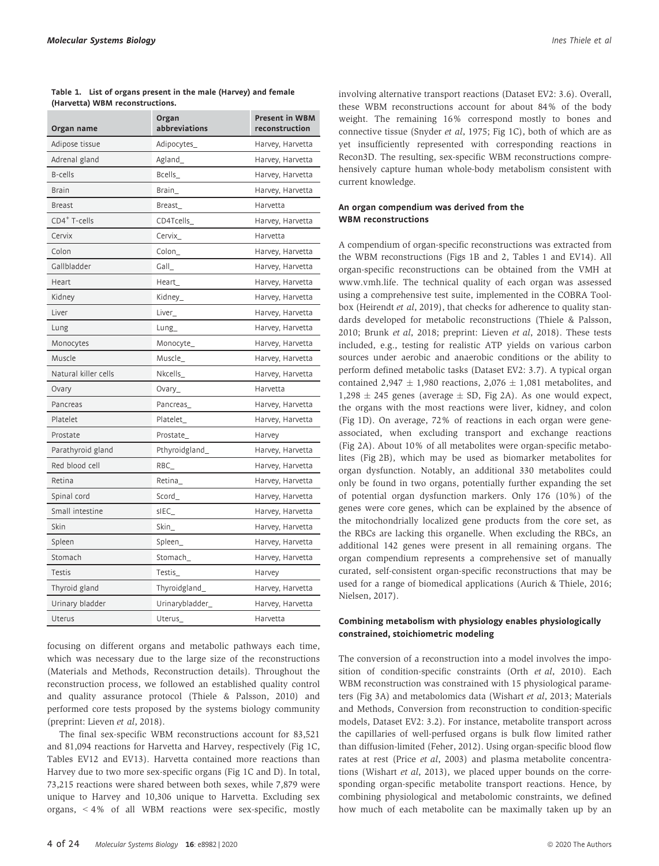| Organ name               | Organ<br>abbreviations | <b>Present in WBM</b><br>reconstruction |
|--------------------------|------------------------|-----------------------------------------|
| Adipose tissue           | Adipocytes_            | Harvey, Harvetta                        |
| Adrenal gland            | Agland_                | Harvey, Harvetta                        |
| B-cells                  | Bcells                 | Harvey, Harvetta                        |
| <b>Brain</b>             | Brain_                 | Harvey, Harvetta                        |
| <b>Breast</b>            | Breast_                | Harvetta                                |
| CD4 <sup>+</sup> T-cells | CD4Tcells              | Harvey, Harvetta                        |
| Cervix                   | Cervix                 | Harvetta                                |
| Colon                    | Colon_                 | Harvey, Harvetta                        |
| Gallbladder              | Gall                   | Harvey, Harvetta                        |
| Heart                    | Heart                  | Harvey, Harvetta                        |
| Kidney                   | Kidney_                | Harvey, Harvetta                        |
| Liver                    | Liver_                 | Harvey, Harvetta                        |
| Lung                     | Lung_                  | Harvey, Harvetta                        |
| Monocytes                | Monocyte_              | Harvey, Harvetta                        |
| Muscle                   | Muscle_                | Harvey, Harvetta                        |
| Natural killer cells     | Nkcells_               | Harvey, Harvetta                        |
| Ovary                    | Ovary_                 | Harvetta                                |
| Pancreas                 | Pancreas_              | Harvey, Harvetta                        |
| Platelet                 | Platelet_              | Harvey, Harvetta                        |
| Prostate                 | Prostate_              | Harvey                                  |
| Parathyroid gland        | Pthyroidgland_         | Harvey, Harvetta                        |
| Red blood cell           | RBC_                   | Harvey, Harvetta                        |
| Retina                   | Retina_                | Harvey, Harvetta                        |
| Spinal cord              | Scord_                 | Harvey, Harvetta                        |
| Small intestine          | $SIEC_$                | Harvey, Harvetta                        |
| Skin                     | Skin_                  | Harvey, Harvetta                        |
| Spleen                   | Spleen_                | Harvey, Harvetta                        |
| Stomach                  | Stomach_               | Harvey, Harvetta                        |
| <b>Testis</b>            | Testis_                | Harvey                                  |
| Thyroid gland            | Thyroidgland_          | Harvey, Harvetta                        |
| Urinary bladder          | Urinarybladder_        | Harvey, Harvetta                        |
| Uterus                   | Uterus                 | Harvetta                                |

Table 1. List of organs present in the male (Harvey) and female (Harvetta) WBM reconstructions.

focusing on different organs and metabolic pathways each time, which was necessary due to the large size of the reconstructions (Materials and Methods, Reconstruction details). Throughout the reconstruction process, we followed an established quality control and quality assurance protocol (Thiele & Palsson, 2010) and performed core tests proposed by the systems biology community (preprint: Lieven et al, 2018).

The final sex-specific WBM reconstructions account for 83,521 and 81,094 reactions for Harvetta and Harvey, respectively (Fig 1C, Tables EV12 and EV13). Harvetta contained more reactions than Harvey due to two more sex-specific organs (Fig 1C and D). In total, 73,215 reactions were shared between both sexes, while 7,879 were unique to Harvey and 10,306 unique to Harvetta. Excluding sex organs, < 4% of all WBM reactions were sex-specific, mostly involving alternative transport reactions (Dataset EV2: 3.6). Overall, these WBM reconstructions account for about 84% of the body weight. The remaining 16% correspond mostly to bones and connective tissue (Snyder et al, 1975; Fig 1C), both of which are as yet insufficiently represented with corresponding reactions in Recon3D. The resulting, sex-specific WBM reconstructions comprehensively capture human whole-body metabolism consistent with current knowledge.

### An organ compendium was derived from the WBM reconstructions

A compendium of organ-specific reconstructions was extracted from the WBM reconstructions (Figs 1B and 2, Tables 1 and EV14). All organ-specific reconstructions can be obtained from the VMH at www.vmh.life. The technical quality of each organ was assessed using a comprehensive test suite, implemented in the COBRA Toolbox (Heirendt et al, 2019), that checks for adherence to quality standards developed for metabolic reconstructions (Thiele & Palsson, 2010; Brunk et al, 2018; preprint: Lieven et al, 2018). These tests included, e.g., testing for realistic ATP yields on various carbon sources under aerobic and anaerobic conditions or the ability to perform defined metabolic tasks (Dataset EV2: 3.7). A typical organ contained 2,947  $\pm$  1,980 reactions, 2,076  $\pm$  1,081 metabolites, and  $1,298 \pm 245$  genes (average  $\pm$  SD, Fig 2A). As one would expect, the organs with the most reactions were liver, kidney, and colon (Fig 1D). On average, 72% of reactions in each organ were geneassociated, when excluding transport and exchange reactions (Fig 2A). About 10% of all metabolites were organ-specific metabolites (Fig 2B), which may be used as biomarker metabolites for organ dysfunction. Notably, an additional 330 metabolites could only be found in two organs, potentially further expanding the set of potential organ dysfunction markers. Only 176 (10%) of the genes were core genes, which can be explained by the absence of the mitochondrially localized gene products from the core set, as the RBCs are lacking this organelle. When excluding the RBCs, an additional 142 genes were present in all remaining organs. The organ compendium represents a comprehensive set of manually curated, self-consistent organ-specific reconstructions that may be used for a range of biomedical applications (Aurich & Thiele, 2016; Nielsen, 2017).

# Combining metabolism with physiology enables physiologically constrained, stoichiometric modeling

The conversion of a reconstruction into a model involves the imposition of condition-specific constraints (Orth et al, 2010). Each WBM reconstruction was constrained with 15 physiological parameters (Fig 3A) and metabolomics data (Wishart et al, 2013; Materials and Methods, Conversion from reconstruction to condition-specific models, Dataset EV2: 3.2). For instance, metabolite transport across the capillaries of well-perfused organs is bulk flow limited rather than diffusion-limited (Feher, 2012). Using organ-specific blood flow rates at rest (Price et al, 2003) and plasma metabolite concentrations (Wishart et al, 2013), we placed upper bounds on the corresponding organ-specific metabolite transport reactions. Hence, by combining physiological and metabolomic constraints, we defined how much of each metabolite can be maximally taken up by an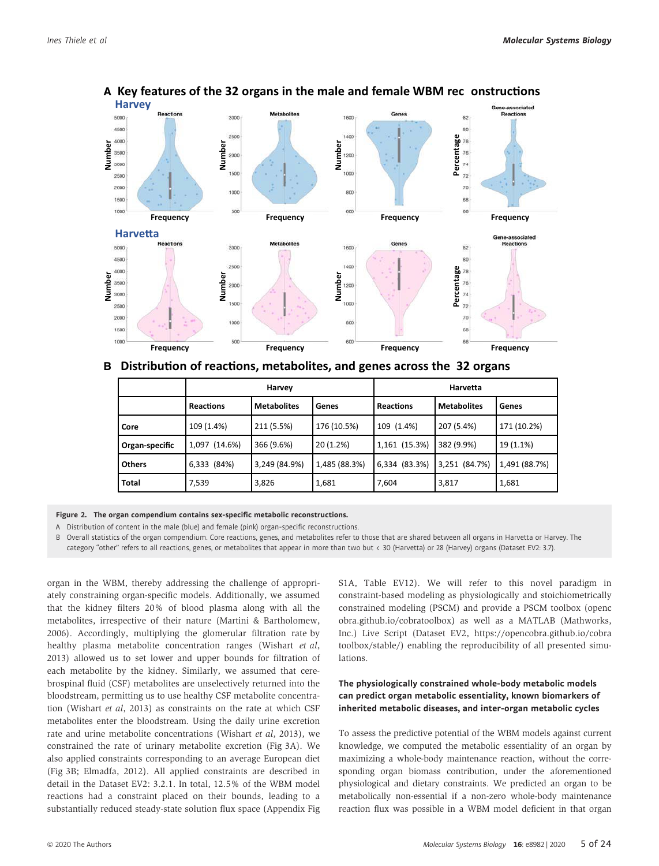

# A Key features of the 32 organs in the male and female WBM rec onstructions

**B** Distribution of reactions, metabolites, and genes across the 32 organs

|                | Harvey           |                    | Harvetta      |                  |                    |               |
|----------------|------------------|--------------------|---------------|------------------|--------------------|---------------|
|                | <b>Reactions</b> | <b>Metabolites</b> | Genes         | <b>Reactions</b> | <b>Metabolites</b> | Genes         |
| Core           | 109 (1.4%)       | 211 (5.5%)         | 176 (10.5%)   | 109 (1.4%)       | 207 (5.4%)         | 171 (10.2%)   |
| Organ-specific | 1,097 (14.6%)    | 366 (9.6%)         | 20 (1.2%)     | 1,161 (15.3%)    | 382 (9.9%)         | 19 (1.1%)     |
| <b>Others</b>  | 6,333 (84%)      | 3,249 (84.9%)      | 1,485 (88.3%) | 6,334 (83.3%)    | 3,251 (84.7%)      | 1,491 (88.7%) |
| <b>Total</b>   | 7,539            | 3,826              | 1,681         | 7,604            | 3,817              | 1,681         |

Figure 2. The organ compendium contains sex-specific metabolic reconstructions.

A Distribution of content in the male (blue) and female (pink) organ-specific reconstructions.

B Overall statistics of the organ compendium. Core reactions, genes, and metabolites refer to those that are shared between all organs in Harvetta or Harvey. The category "other" refers to all reactions, genes, or metabolites that appear in more than two but < 30 (Harvetta) or 28 (Harvey) organs (Dataset EV2: 3.7).

organ in the WBM, thereby addressing the challenge of appropriately constraining organ-specific models. Additionally, we assumed that the kidney filters 20% of blood plasma along with all the metabolites, irrespective of their nature (Martini & Bartholomew, 2006). Accordingly, multiplying the glomerular filtration rate by healthy plasma metabolite concentration ranges (Wishart et al, 2013) allowed us to set lower and upper bounds for filtration of each metabolite by the kidney. Similarly, we assumed that cerebrospinal fluid (CSF) metabolites are unselectively returned into the bloodstream, permitting us to use healthy CSF metabolite concentration (Wishart et al, 2013) as constraints on the rate at which CSF metabolites enter the bloodstream. Using the daily urine excretion rate and urine metabolite concentrations (Wishart et al, 2013), we constrained the rate of urinary metabolite excretion (Fig 3A). We also applied constraints corresponding to an average European diet (Fig 3B; Elmadfa, 2012). All applied constraints are described in detail in the Dataset EV2: 3.2.1. In total, 12.5% of the WBM model reactions had a constraint placed on their bounds, leading to a substantially reduced steady-state solution flux space (Appendix Fig S1A, Table EV12). We will refer to this novel paradigm in constraint-based modeling as physiologically and stoichiometrically constrained modeling (PSCM) and provide a PSCM toolbox (openc obra.github.io/cobratoolbox) as well as a MATLAB (Mathworks, Inc.) Live Script (Dataset EV2, https://opencobra.github.io/cobra toolbox/stable/) enabling the reproducibility of all presented simulations.

## The physiologically constrained whole-body metabolic models can predict organ metabolic essentiality, known biomarkers of inherited metabolic diseases, and inter-organ metabolic cycles

To assess the predictive potential of the WBM models against current knowledge, we computed the metabolic essentiality of an organ by maximizing a whole-body maintenance reaction, without the corresponding organ biomass contribution, under the aforementioned physiological and dietary constraints. We predicted an organ to be metabolically non-essential if a non-zero whole-body maintenance reaction flux was possible in a WBM model deficient in that organ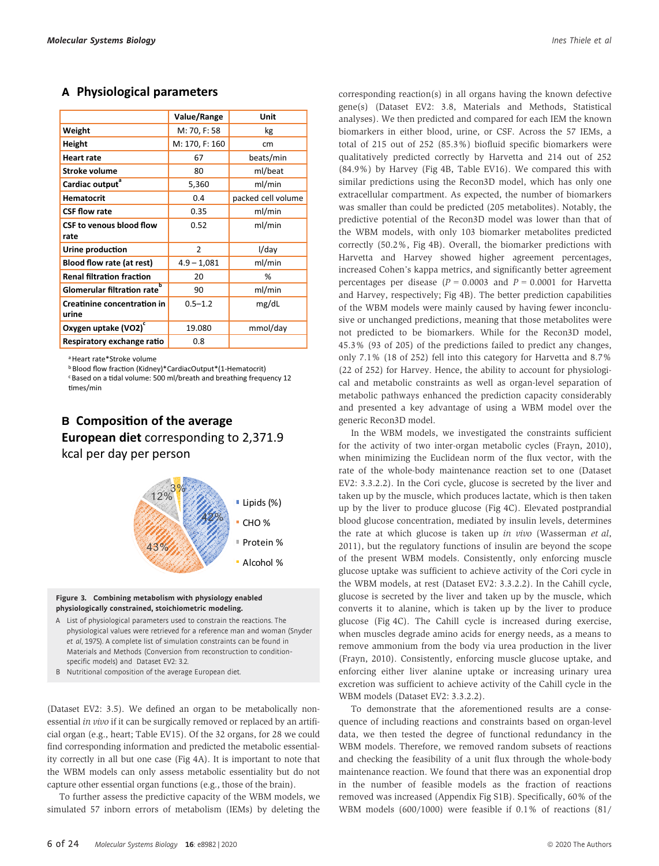|                                             | Value/Range    | Unit               |
|---------------------------------------------|----------------|--------------------|
| Weight                                      | M: 70, F: 58   | kg                 |
| Height                                      | M: 170, F: 160 | cm                 |
| <b>Heart rate</b>                           | 67             | beats/min          |
| Stroke volume                               | 80             | ml/beat            |
| Cardiac output                              | 5,360          | ml/min             |
| Hematocrit                                  | 0.4            | packed cell volume |
| <b>CSF flow rate</b>                        | 0.35           | ml/min             |
| <b>CSF to venous blood flow</b><br>rate     | 0.52           | ml/min             |
| Urine production                            | $\overline{2}$ | I/day              |
| <b>Blood flow rate (at rest)</b>            | $4.9 - 1,081$  | ml/min             |
| <b>Renal filtration fraction</b>            | 20             | %                  |
| Glomerular filtration rate`                 | 90             | ml/min             |
| <b>Creatinine concentration in</b><br>urine | $0.5 - 1.2$    | mg/dL              |
| Oxygen uptake (VO2) <sup>c</sup>            | 19.080         | mmol/day           |
| Respiratory exchange ratio                  | 0.8            |                    |

# **A Physiological parameters**

<sup>a</sup>Heart rate\*Stroke volume

<sup>b</sup> Blood flow fraction (Kidney)\*CardiacOutput\*(1-Hematocrit)  $c$  Based on a tidal volume: 500 ml/breath and breathing frequency 12 times/min

# **B** Composition of the average **European diet** corresponding to 2,371.9 kcal per day per person



#### Figure 3. Combining metabolism with physiology enabled physiologically constrained, stoichiometric modeling.

- A List of physiological parameters used to constrain the reactions. The physiological values were retrieved for a reference man and woman (Snyder et al, 1975). A complete list of simulation constraints can be found in Materials and Methods (Conversion from reconstruction to conditionspecific models) and Dataset EV2: 3.2.
- B Nutritional composition of the average European diet.

(Dataset EV2: 3.5). We defined an organ to be metabolically nonessential in vivo if it can be surgically removed or replaced by an artificial organ (e.g., heart; Table EV15). Of the 32 organs, for 28 we could find corresponding information and predicted the metabolic essentiality correctly in all but one case (Fig 4A). It is important to note that the WBM models can only assess metabolic essentiality but do not capture other essential organ functions (e.g., those of the brain).

To further assess the predictive capacity of the WBM models, we simulated 57 inborn errors of metabolism (IEMs) by deleting the corresponding reaction(s) in all organs having the known defective gene(s) (Dataset EV2: 3.8, Materials and Methods, Statistical analyses). We then predicted and compared for each IEM the known biomarkers in either blood, urine, or CSF. Across the 57 IEMs, a total of 215 out of 252 (85.3%) biofluid specific biomarkers were qualitatively predicted correctly by Harvetta and 214 out of 252 (84.9%) by Harvey (Fig 4B, Table EV16). We compared this with similar predictions using the Recon3D model, which has only one extracellular compartment. As expected, the number of biomarkers was smaller than could be predicted (205 metabolites). Notably, the predictive potential of the Recon3D model was lower than that of the WBM models, with only 103 biomarker metabolites predicted correctly (50.2%, Fig 4B). Overall, the biomarker predictions with Harvetta and Harvey showed higher agreement percentages, increased Cohen's kappa metrics, and significantly better agreement percentages per disease ( $P = 0.0003$  and  $P = 0.0001$  for Harvetta and Harvey, respectively; Fig 4B). The better prediction capabilities of the WBM models were mainly caused by having fewer inconclusive or unchanged predictions, meaning that those metabolites were not predicted to be biomarkers. While for the Recon3D model, 45.3% (93 of 205) of the predictions failed to predict any changes, only 7.1% (18 of 252) fell into this category for Harvetta and 8.7% (22 of 252) for Harvey. Hence, the ability to account for physiological and metabolic constraints as well as organ-level separation of metabolic pathways enhanced the prediction capacity considerably and presented a key advantage of using a WBM model over the generic Recon3D model.

In the WBM models, we investigated the constraints sufficient for the activity of two inter-organ metabolic cycles (Frayn, 2010), when minimizing the Euclidean norm of the flux vector, with the rate of the whole-body maintenance reaction set to one (Dataset EV2: 3.3.2.2). In the Cori cycle, glucose is secreted by the liver and taken up by the muscle, which produces lactate, which is then taken up by the liver to produce glucose (Fig 4C). Elevated postprandial blood glucose concentration, mediated by insulin levels, determines the rate at which glucose is taken up in vivo (Wasserman et al, 2011), but the regulatory functions of insulin are beyond the scope of the present WBM models. Consistently, only enforcing muscle glucose uptake was sufficient to achieve activity of the Cori cycle in the WBM models, at rest (Dataset EV2: 3.3.2.2). In the Cahill cycle, glucose is secreted by the liver and taken up by the muscle, which converts it to alanine, which is taken up by the liver to produce glucose (Fig 4C). The Cahill cycle is increased during exercise, when muscles degrade amino acids for energy needs, as a means to remove ammonium from the body via urea production in the liver (Frayn, 2010). Consistently, enforcing muscle glucose uptake, and enforcing either liver alanine uptake or increasing urinary urea excretion was sufficient to achieve activity of the Cahill cycle in the WBM models (Dataset EV2: 3.3.2.2).

To demonstrate that the aforementioned results are a consequence of including reactions and constraints based on organ-level data, we then tested the degree of functional redundancy in the WBM models. Therefore, we removed random subsets of reactions and checking the feasibility of a unit flux through the whole-body maintenance reaction. We found that there was an exponential drop in the number of feasible models as the fraction of reactions removed was increased (Appendix Fig S1B). Specifically, 60% of the WBM models (600/1000) were feasible if 0.1% of reactions (81/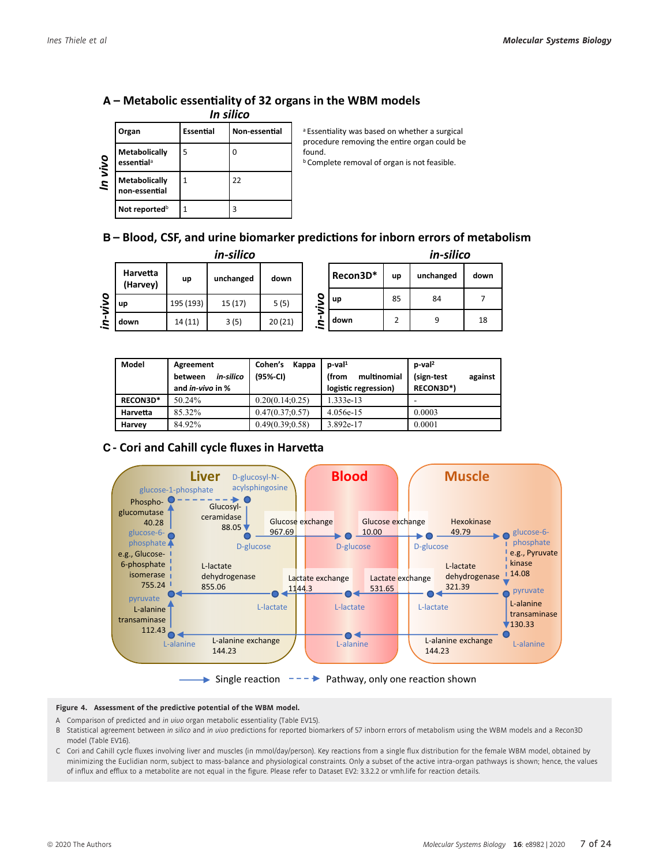# A – Metabolic essentiality of 32 organs in the WBM models

*In silico*

|         | Organ                                          | Essential | Non-essential |
|---------|------------------------------------------------|-----------|---------------|
|         | <b>Metabolically</b><br>essential <sup>a</sup> | 5         | ი             |
| In vivo | <b>Metabolically</b><br>non-essential          |           | 22            |
|         | Not reported <sup>b</sup>                      |           | R             |

<sup>a</sup> Essentiality was based on whether a surgical procedure removing the entire organ could be found.

**b** Complete removal of organ is not feasible.

# B - Blood, CSF, and urine biomarker predictions for inborn errors of metabolism

|         |                      |           | in-silico |        |
|---------|----------------------|-----------|-----------|--------|
|         | Harvetta<br>(Harvey) | up        | unchanged | down   |
|         | up                   | 195 (193) | 15(17)    | 5(5)   |
|         | down                 | 14 (11)   | 3(5)      | 20(21) |
| in-vivo |                      |           |           |        |

|         |          |    | in-silico |      |
|---------|----------|----|-----------|------|
|         | Recon3D* | up | unchanged | down |
|         | up       | 85 | 84        |      |
| in-vivo | down     |    |           | 18   |

| Model    | Agreement<br>in-silico<br>between<br>and in-vivo in % | Cohen's<br>Kappa<br>(95%-CI) | $p-\nu a l^1$<br>multinomial<br>(from<br>logistic regression) | p-val <sup>2</sup><br>(sign-test<br>against<br>RECON3D*) |
|----------|-------------------------------------------------------|------------------------------|---------------------------------------------------------------|----------------------------------------------------------|
| RECON3D* | 50.24%                                                | 0.20(0.14;0.25)              | 1.333e-13                                                     |                                                          |
| Harvetta | 85.32%                                                | 0.47(0.37:0.57)              | 4.056e-15                                                     | 0.0003                                                   |
| Harvey   | 84.92%                                                | 0.49(0.39; 0.58)             | 3.892e-17                                                     | 0.0001                                                   |

# **C** - Cori and Cahill cycle fluxes in Harvetta



#### Figure 4. Assessment of the predictive potential of the WBM model.

- A Comparison of predicted and in vivo organ metabolic essentiality (Table EV15).
- B Statistical agreement between in silico and in vivo predictions for reported biomarkers of 57 inborn errors of metabolism using the WBM models and a Recon3D model (Table EV16).
- C Cori and Cahill cycle fluxes involving liver and muscles (in mmol/day/person). Key reactions from a single flux distribution for the female WBM model, obtained by minimizing the Euclidian norm, subject to mass-balance and physiological constraints. Only a subset of the active intra-organ pathways is shown; hence, the values of influx and efflux to a metabolite are not equal in the figure. Please refer to Dataset EV2: 3.3.2.2 or vmh.life for reaction details.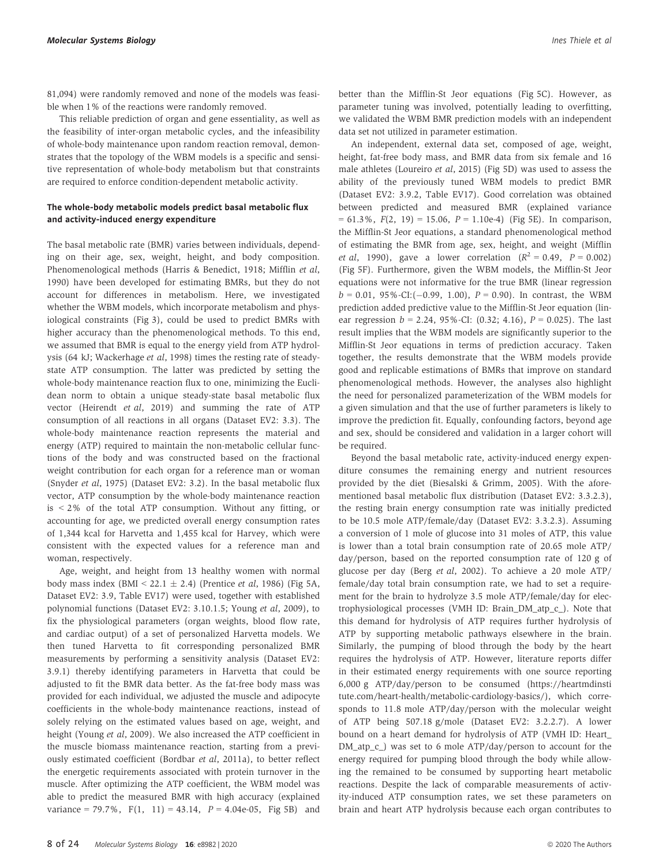81,094) were randomly removed and none of the models was feasible when 1% of the reactions were randomly removed.

This reliable prediction of organ and gene essentiality, as well as the feasibility of inter-organ metabolic cycles, and the infeasibility of whole-body maintenance upon random reaction removal, demonstrates that the topology of the WBM models is a specific and sensitive representation of whole-body metabolism but that constraints are required to enforce condition-dependent metabolic activity.

### The whole-body metabolic models predict basal metabolic flux and activity-induced energy expenditure

The basal metabolic rate (BMR) varies between individuals, depending on their age, sex, weight, height, and body composition. Phenomenological methods (Harris & Benedict, 1918; Mifflin et al, 1990) have been developed for estimating BMRs, but they do not account for differences in metabolism. Here, we investigated whether the WBM models, which incorporate metabolism and physiological constraints (Fig 3), could be used to predict BMRs with higher accuracy than the phenomenological methods. To this end, we assumed that BMR is equal to the energy yield from ATP hydrolysis (64 kJ; Wackerhage et al, 1998) times the resting rate of steadystate ATP consumption. The latter was predicted by setting the whole-body maintenance reaction flux to one, minimizing the Euclidean norm to obtain a unique steady-state basal metabolic flux vector (Heirendt et al, 2019) and summing the rate of ATP consumption of all reactions in all organs (Dataset EV2: 3.3). The whole-body maintenance reaction represents the material and energy (ATP) required to maintain the non-metabolic cellular functions of the body and was constructed based on the fractional weight contribution for each organ for a reference man or woman (Snyder et al, 1975) (Dataset EV2: 3.2). In the basal metabolic flux vector, ATP consumption by the whole-body maintenance reaction is < 2% of the total ATP consumption. Without any fitting, or accounting for age, we predicted overall energy consumption rates of 1,344 kcal for Harvetta and 1,455 kcal for Harvey, which were consistent with the expected values for a reference man and woman, respectively.

Age, weight, and height from 13 healthy women with normal body mass index (BMI <  $22.1 \pm 2.4$ ) (Prentice *et al*, 1986) (Fig 5A, Dataset EV2: 3.9, Table EV17) were used, together with established polynomial functions (Dataset EV2: 3.10.1.5; Young et al, 2009), to fix the physiological parameters (organ weights, blood flow rate, and cardiac output) of a set of personalized Harvetta models. We then tuned Harvetta to fit corresponding personalized BMR measurements by performing a sensitivity analysis (Dataset EV2: 3.9.1) thereby identifying parameters in Harvetta that could be adjusted to fit the BMR data better. As the fat-free body mass was provided for each individual, we adjusted the muscle and adipocyte coefficients in the whole-body maintenance reactions, instead of solely relying on the estimated values based on age, weight, and height (Young et al, 2009). We also increased the ATP coefficient in the muscle biomass maintenance reaction, starting from a previously estimated coefficient (Bordbar et al, 2011a), to better reflect the energetic requirements associated with protein turnover in the muscle. After optimizing the ATP coefficient, the WBM model was able to predict the measured BMR with high accuracy (explained variance = 79.7%,  $F(1, 11) = 43.14$ ,  $P = 4.04e-05$ , Fig 5B) and better than the Mifflin-St Jeor equations (Fig 5C). However, as parameter tuning was involved, potentially leading to overfitting, we validated the WBM BMR prediction models with an independent data set not utilized in parameter estimation.

An independent, external data set, composed of age, weight, height, fat-free body mass, and BMR data from six female and 16 male athletes (Loureiro et al, 2015) (Fig 5D) was used to assess the ability of the previously tuned WBM models to predict BMR (Dataset EV2: 3.9.2, Table EV17). Good correlation was obtained between predicted and measured BMR (explained variance  $= 61.3\%$ ,  $F(2, 19) = 15.06$ ,  $P = 1.10e-4$ ) (Fig 5E). In comparison, the Mifflin-St Jeor equations, a standard phenomenological method of estimating the BMR from age, sex, height, and weight (Mifflin *et al*, 1990), gave a lower correlation ( $R^2 = 0.49$ ,  $P = 0.002$ ) (Fig 5F). Furthermore, given the WBM models, the Mifflin-St Jeor equations were not informative for the true BMR (linear regression  $b = 0.01$ , 95%-CI:(-0.99, 1.00),  $P = 0.90$ ). In contrast, the WBM prediction added predictive value to the Mifflin-St Jeor equation (linear regression  $b = 2.24$ , 95%-CI: (0.32; 4.16),  $P = 0.025$ ). The last result implies that the WBM models are significantly superior to the Mifflin-St Jeor equations in terms of prediction accuracy. Taken together, the results demonstrate that the WBM models provide good and replicable estimations of BMRs that improve on standard phenomenological methods. However, the analyses also highlight the need for personalized parameterization of the WBM models for a given simulation and that the use of further parameters is likely to improve the prediction fit. Equally, confounding factors, beyond age and sex, should be considered and validation in a larger cohort will be required.

Beyond the basal metabolic rate, activity-induced energy expenditure consumes the remaining energy and nutrient resources provided by the diet (Biesalski & Grimm, 2005). With the aforementioned basal metabolic flux distribution (Dataset EV2: 3.3.2.3), the resting brain energy consumption rate was initially predicted to be 10.5 mole ATP/female/day (Dataset EV2: 3.3.2.3). Assuming a conversion of 1 mole of glucose into 31 moles of ATP, this value is lower than a total brain consumption rate of 20.65 mole ATP/ day/person, based on the reported consumption rate of 120 g of glucose per day (Berg et al, 2002). To achieve a 20 mole ATP/ female/day total brain consumption rate, we had to set a requirement for the brain to hydrolyze 3.5 mole ATP/female/day for electrophysiological processes (VMH ID: Brain\_DM\_atp\_c\_). Note that this demand for hydrolysis of ATP requires further hydrolysis of ATP by supporting metabolic pathways elsewhere in the brain. Similarly, the pumping of blood through the body by the heart requires the hydrolysis of ATP. However, literature reports differ in their estimated energy requirements with one source reporting 6,000 g ATP/day/person to be consumed (https://heartmdinsti tute.com/heart-health/metabolic-cardiology-basics/), which corresponds to 11.8 mole ATP/day/person with the molecular weight of ATP being 507.18 g/mole (Dataset EV2: 3.2.2.7). A lower bound on a heart demand for hydrolysis of ATP (VMH ID: Heart\_ DM\_atp\_c\_) was set to 6 mole ATP/day/person to account for the energy required for pumping blood through the body while allowing the remained to be consumed by supporting heart metabolic reactions. Despite the lack of comparable measurements of activity-induced ATP consumption rates, we set these parameters on brain and heart ATP hydrolysis because each organ contributes to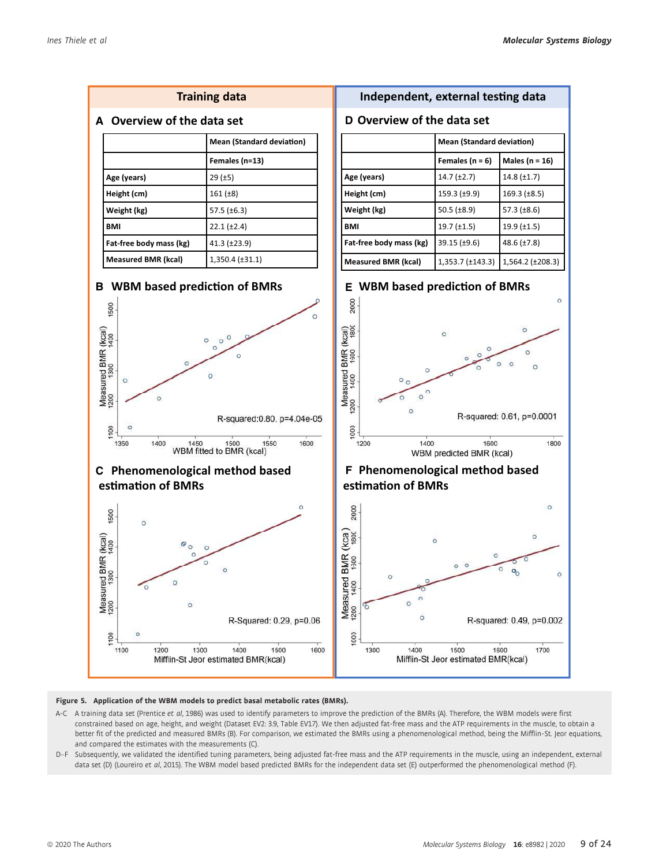

#### Figure 5. Application of the WBM models to predict basal metabolic rates (BMRs).

- A-C A training data set (Prentice et al, 1986) was used to identify parameters to improve the prediction of the BMRs (A). Therefore, the WBM models were first constrained based on age, height, and weight (Dataset EV2: 3.9, Table EV17). We then adjusted fat-free mass and the ATP requirements in the muscle, to obtain a better fit of the predicted and measured BMRs (B). For comparison, we estimated the BMRs using a phenomenological method, being the Mifflin-St. Jeor equations, and compared the estimates with the measurements (C).
- D–F Subsequently, we validated the identified tuning parameters, being adjusted fat-free mass and the ATP requirements in the muscle, using an independent, external data set (D) (Loureiro et al, 2015). The WBM model based predicted BMRs for the independent data set (E) outperformed the phenomenological method (F).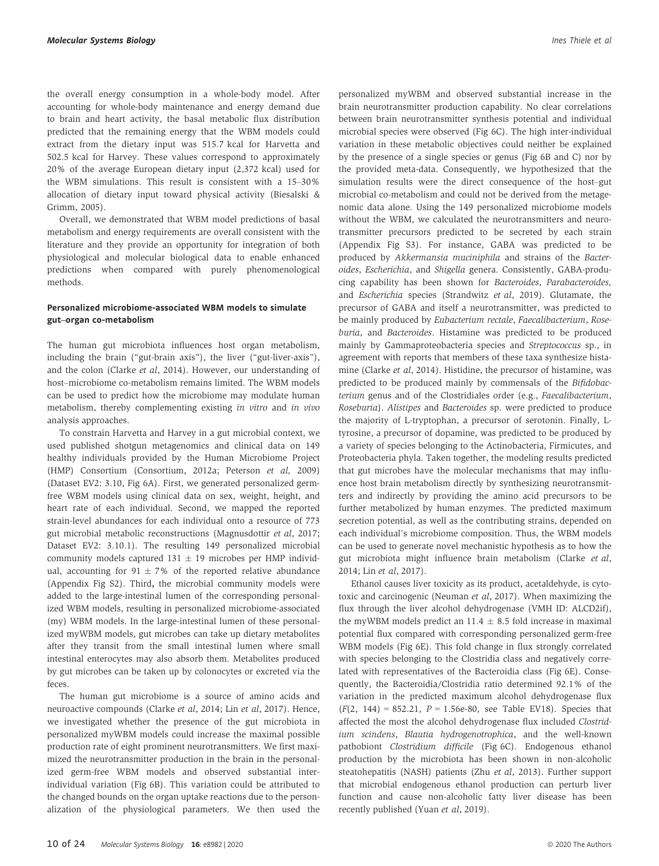the overall energy consumption in a whole-body model. After accounting for whole-body maintenance and energy demand due to brain and heart activity, the basal metabolic flux distribution predicted that the remaining energy that the WBM models could extract from the dietary input was 515.7 kcal for Harvetta and 502.5 kcal for Harvey. These values correspond to approximately 20% of the average European dietary input (2,372 kcal) used for the WBM simulations. This result is consistent with a 15–30% allocation of dietary input toward physical activity (Biesalski & Grimm, 2005).

Overall, we demonstrated that WBM model predictions of basal metabolism and energy requirements are overall consistent with the literature and they provide an opportunity for integration of both physiological and molecular biological data to enable enhanced predictions when compared with purely phenomenological methods.

### Personalized microbiome-associated WBM models to simulate gut–organ co-metabolism

The human gut microbiota influences host organ metabolism, including the brain ("gut-brain axis"), the liver ("gut-liver-axis"), and the colon (Clarke et al, 2014). However, our understanding of host–microbiome co-metabolism remains limited. The WBM models can be used to predict how the microbiome may modulate human metabolism, thereby complementing existing in vitro and in vivo analysis approaches.

To constrain Harvetta and Harvey in a gut microbial context, we used published shotgun metagenomics and clinical data on 149 healthy individuals provided by the Human Microbiome Project (HMP) Consortium (Consortium, 2012a; Peterson et al, 2009) (Dataset EV2: 3.10, Fig 6A). First, we generated personalized germfree WBM models using clinical data on sex, weight, height, and heart rate of each individual. Second, we mapped the reported strain-level abundances for each individual onto a resource of 773 gut microbial metabolic reconstructions (Magnusdottir et al, 2017; Dataset EV2: 3.10.1). The resulting 149 personalized microbial community models captured  $131 \pm 19$  microbes per HMP individual, accounting for  $91 \pm 7\%$  of the reported relative abundance (Appendix Fig S2). Third, the microbial community models were added to the large-intestinal lumen of the corresponding personalized WBM models, resulting in personalized microbiome-associated (my) WBM models. In the large-intestinal lumen of these personalized myWBM models, gut microbes can take up dietary metabolites after they transit from the small intestinal lumen where small intestinal enterocytes may also absorb them. Metabolites produced by gut microbes can be taken up by colonocytes or excreted via the feces.

The human gut microbiome is a source of amino acids and neuroactive compounds (Clarke et al, 2014; Lin et al, 2017). Hence, we investigated whether the presence of the gut microbiota in personalized myWBM models could increase the maximal possible production rate of eight prominent neurotransmitters. We first maximized the neurotransmitter production in the brain in the personalized germ-free WBM models and observed substantial interindividual variation (Fig 6B). This variation could be attributed to the changed bounds on the organ uptake reactions due to the personalization of the physiological parameters. We then used the personalized myWBM and observed substantial increase in the brain neurotransmitter production capability. No clear correlations between brain neurotransmitter synthesis potential and individual microbial species were observed (Fig 6C). The high inter-individual variation in these metabolic objectives could neither be explained by the presence of a single species or genus (Fig 6B and C) nor by the provided meta-data. Consequently, we hypothesized that the simulation results were the direct consequence of the host–gut microbial co-metabolism and could not be derived from the metagenomic data alone. Using the 149 personalized microbiome models without the WBM, we calculated the neurotransmitters and neurotransmitter precursors predicted to be secreted by each strain (Appendix Fig S3). For instance, GABA was predicted to be produced by Akkermansia muciniphila and strains of the Bacteroides, Escherichia, and Shigella genera. Consistently, GABA-producing capability has been shown for Bacteroides, Parabacteroides, and Escherichia species (Strandwitz et al, 2019). Glutamate, the precursor of GABA and itself a neurotransmitter, was predicted to be mainly produced by Eubacterium rectale, Faecalibacterium, Roseburia, and Bacteroides. Histamine was predicted to be produced mainly by Gammaproteobacteria species and Streptococcus sp., in agreement with reports that members of these taxa synthesize histamine (Clarke et al, 2014). Histidine, the precursor of histamine, was predicted to be produced mainly by commensals of the Bifidobacterium genus and of the Clostridiales order (e.g., Faecalibacterium, Roseburia). Alistipes and Bacteroides sp. were predicted to produce the majority of L-tryptophan, a precursor of serotonin. Finally, Ltyrosine, a precursor of dopamine, was predicted to be produced by a variety of species belonging to the Actinobacteria, Firmicutes, and Proteobacteria phyla. Taken together, the modeling results predicted that gut microbes have the molecular mechanisms that may influence host brain metabolism directly by synthesizing neurotransmitters and indirectly by providing the amino acid precursors to be further metabolized by human enzymes. The predicted maximum secretion potential, as well as the contributing strains, depended on each individual's microbiome composition. Thus, the WBM models can be used to generate novel mechanistic hypothesis as to how the gut microbiota might influence brain metabolism (Clarke et al, 2014; Lin et al, 2017).

Ethanol causes liver toxicity as its product, acetaldehyde, is cytotoxic and carcinogenic (Neuman et al, 2017). When maximizing the flux through the liver alcohol dehydrogenase (VMH ID: ALCD2if), the myWBM models predict an 11.4  $\pm$  8.5 fold increase in maximal potential flux compared with corresponding personalized germ-free WBM models (Fig 6E). This fold change in flux strongly correlated with species belonging to the Clostridia class and negatively correlated with representatives of the Bacteroidia class (Fig 6E). Consequently, the Bacteroidia/Clostridia ratio determined 92.1% of the variation in the predicted maximum alcohol dehydrogenase flux  $(F(2, 144) = 852.21, P = 1.56e-80,$  see Table EV18). Species that affected the most the alcohol dehydrogenase flux included Clostridium scindens, Blautia hydrogenotrophica, and the well-known pathobiont Clostridium difficile (Fig 6C). Endogenous ethanol production by the microbiota has been shown in non-alcoholic steatohepatitis (NASH) patients (Zhu et al, 2013). Further support that microbial endogenous ethanol production can perturb liver function and cause non-alcoholic fatty liver disease has been recently published (Yuan et al, 2019).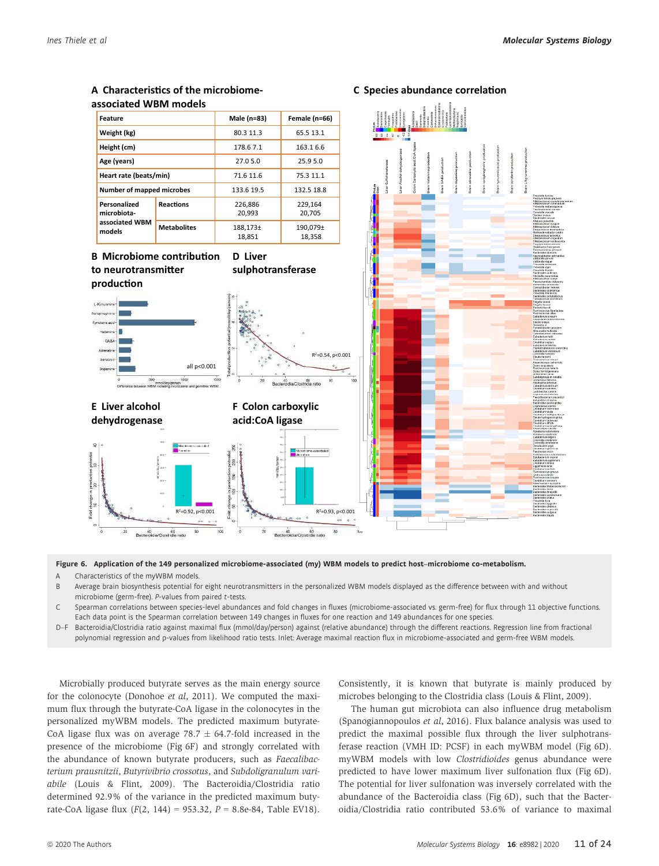**C** Species abundance correlation



### **A** Characteristics of the microbiome**associated WBM models**

Figure 6. Application of the 149 personalized microbiome-associated (my) WBM models to predict host–microbiome co-metabolism.

- A Characteristics of the myWBM models.
- B Average brain biosynthesis potential for eight neurotransmitters in the personalized WBM models displayed as the difference between with and without microbiome (germ-free). P-values from paired t-tests.
- C Spearman correlations between species-level abundances and fold changes in fluxes (microbiome-associated vs. germ-free) for flux through 11 objective functions. Each data point is the Spearman correlation between 149 changes in fluxes for one reaction and 149 abundances for one species.
- D–F Bacteroidia/Clostridia ratio against maximal flux (mmol/day/person) against (relative abundance) through the different reactions. Regression line from fractional polynomial regression and p-values from likelihood ratio tests. Inlet: Average maximal reaction flux in microbiome-associated and germ-free WBM models.

Microbially produced butyrate serves as the main energy source for the colonocyte (Donohoe et al, 2011). We computed the maximum flux through the butyrate-CoA ligase in the colonocytes in the personalized myWBM models. The predicted maximum butyrate-CoA ligase flux was on average  $78.7 \pm 64.7$ -fold increased in the presence of the microbiome (Fig 6F) and strongly correlated with the abundance of known butyrate producers, such as Faecalibacterium prausnitzii, Butyrivibrio crossotus, and Subdoligranulum variabile (Louis & Flint, 2009). The Bacteroidia/Clostridia ratio determined 92.9% of the variance in the predicted maximum butyrate-CoA ligase flux  $(F(2, 144) = 953.32, P = 8.8e-84,$  Table EV18).

Consistently, it is known that butyrate is mainly produced by microbes belonging to the Clostridia class (Louis & Flint, 2009).

The human gut microbiota can also influence drug metabolism (Spanogiannopoulos et al, 2016). Flux balance analysis was used to predict the maximal possible flux through the liver sulphotransferase reaction (VMH ID: PCSF) in each myWBM model (Fig 6D). myWBM models with low Clostridioides genus abundance were predicted to have lower maximum liver sulfonation flux (Fig 6D). The potential for liver sulfonation was inversely correlated with the abundance of the Bacteroidia class (Fig 6D), such that the Bacteroidia/Clostridia ratio contributed 53.6% of variance to maximal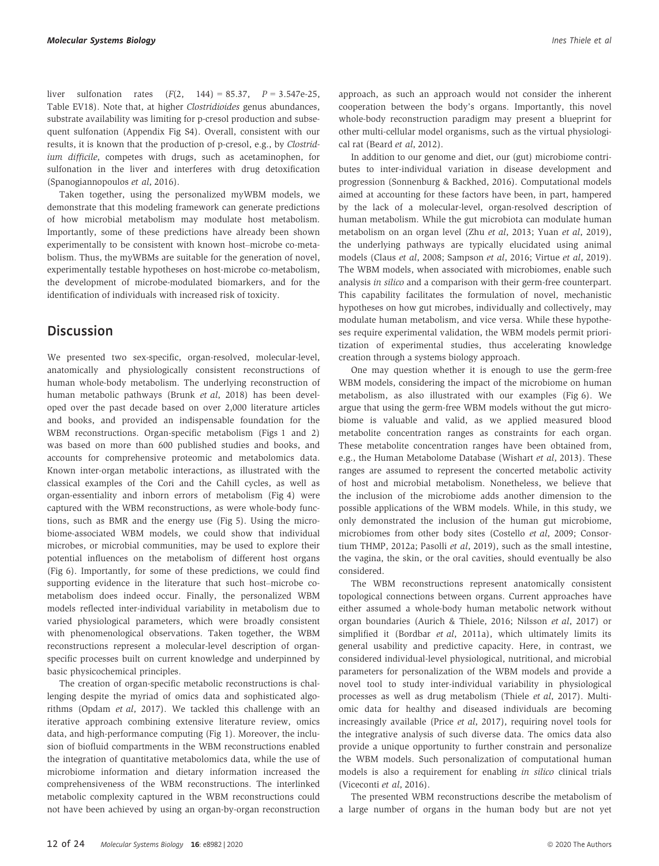liver sulfonation rates  $(F(2, 144) = 85.37, P = 3.547e-25,$ Table EV18). Note that, at higher Clostridioides genus abundances, substrate availability was limiting for p-cresol production and subsequent sulfonation (Appendix Fig S4). Overall, consistent with our results, it is known that the production of p-cresol, e.g., by Clostridium difficile, competes with drugs, such as acetaminophen, for sulfonation in the liver and interferes with drug detoxification (Spanogiannopoulos et al, 2016).

Taken together, using the personalized myWBM models, we demonstrate that this modeling framework can generate predictions of how microbial metabolism may modulate host metabolism. Importantly, some of these predictions have already been shown experimentally to be consistent with known host–microbe co-metabolism. Thus, the myWBMs are suitable for the generation of novel, experimentally testable hypotheses on host-microbe co-metabolism, the development of microbe-modulated biomarkers, and for the identification of individuals with increased risk of toxicity.

# **Discussion**

We presented two sex-specific, organ-resolved, molecular-level, anatomically and physiologically consistent reconstructions of human whole-body metabolism. The underlying reconstruction of human metabolic pathways (Brunk et al, 2018) has been developed over the past decade based on over 2,000 literature articles and books, and provided an indispensable foundation for the WBM reconstructions. Organ-specific metabolism (Figs 1 and 2) was based on more than 600 published studies and books, and accounts for comprehensive proteomic and metabolomics data. Known inter-organ metabolic interactions, as illustrated with the classical examples of the Cori and the Cahill cycles, as well as organ-essentiality and inborn errors of metabolism (Fig 4) were captured with the WBM reconstructions, as were whole-body functions, such as BMR and the energy use (Fig 5). Using the microbiome-associated WBM models, we could show that individual microbes, or microbial communities, may be used to explore their potential influences on the metabolism of different host organs (Fig 6). Importantly, for some of these predictions, we could find supporting evidence in the literature that such host–microbe cometabolism does indeed occur. Finally, the personalized WBM models reflected inter-individual variability in metabolism due to varied physiological parameters, which were broadly consistent with phenomenological observations. Taken together, the WBM reconstructions represent a molecular-level description of organspecific processes built on current knowledge and underpinned by basic physicochemical principles.

The creation of organ-specific metabolic reconstructions is challenging despite the myriad of omics data and sophisticated algorithms (Opdam et al, 2017). We tackled this challenge with an iterative approach combining extensive literature review, omics data, and high-performance computing (Fig 1). Moreover, the inclusion of biofluid compartments in the WBM reconstructions enabled the integration of quantitative metabolomics data, while the use of microbiome information and dietary information increased the comprehensiveness of the WBM reconstructions. The interlinked metabolic complexity captured in the WBM reconstructions could not have been achieved by using an organ-by-organ reconstruction

approach, as such an approach would not consider the inherent cooperation between the body's organs. Importantly, this novel whole-body reconstruction paradigm may present a blueprint for other multi-cellular model organisms, such as the virtual physiological rat (Beard et al, 2012).

In addition to our genome and diet, our (gut) microbiome contributes to inter-individual variation in disease development and progression (Sonnenburg & Backhed, 2016). Computational models aimed at accounting for these factors have been, in part, hampered by the lack of a molecular-level, organ-resolved description of human metabolism. While the gut microbiota can modulate human metabolism on an organ level (Zhu et al, 2013; Yuan et al, 2019), the underlying pathways are typically elucidated using animal models (Claus et al, 2008; Sampson et al, 2016; Virtue et al, 2019). The WBM models, when associated with microbiomes, enable such analysis in silico and a comparison with their germ-free counterpart. This capability facilitates the formulation of novel, mechanistic hypotheses on how gut microbes, individually and collectively, may modulate human metabolism, and vice versa. While these hypotheses require experimental validation, the WBM models permit prioritization of experimental studies, thus accelerating knowledge creation through a systems biology approach.

One may question whether it is enough to use the germ-free WBM models, considering the impact of the microbiome on human metabolism, as also illustrated with our examples (Fig 6). We argue that using the germ-free WBM models without the gut microbiome is valuable and valid, as we applied measured blood metabolite concentration ranges as constraints for each organ. These metabolite concentration ranges have been obtained from, e.g., the Human Metabolome Database (Wishart et al, 2013). These ranges are assumed to represent the concerted metabolic activity of host and microbial metabolism. Nonetheless, we believe that the inclusion of the microbiome adds another dimension to the possible applications of the WBM models. While, in this study, we only demonstrated the inclusion of the human gut microbiome, microbiomes from other body sites (Costello et al, 2009; Consortium THMP, 2012a; Pasolli et al, 2019), such as the small intestine, the vagina, the skin, or the oral cavities, should eventually be also considered.

The WBM reconstructions represent anatomically consistent topological connections between organs. Current approaches have either assumed a whole-body human metabolic network without organ boundaries (Aurich & Thiele, 2016; Nilsson et al, 2017) or simplified it (Bordbar et al, 2011a), which ultimately limits its general usability and predictive capacity. Here, in contrast, we considered individual-level physiological, nutritional, and microbial parameters for personalization of the WBM models and provide a novel tool to study inter-individual variability in physiological processes as well as drug metabolism (Thiele et al, 2017). Multiomic data for healthy and diseased individuals are becoming increasingly available (Price et al, 2017), requiring novel tools for the integrative analysis of such diverse data. The omics data also provide a unique opportunity to further constrain and personalize the WBM models. Such personalization of computational human models is also a requirement for enabling in silico clinical trials (Viceconti et al, 2016).

The presented WBM reconstructions describe the metabolism of a large number of organs in the human body but are not yet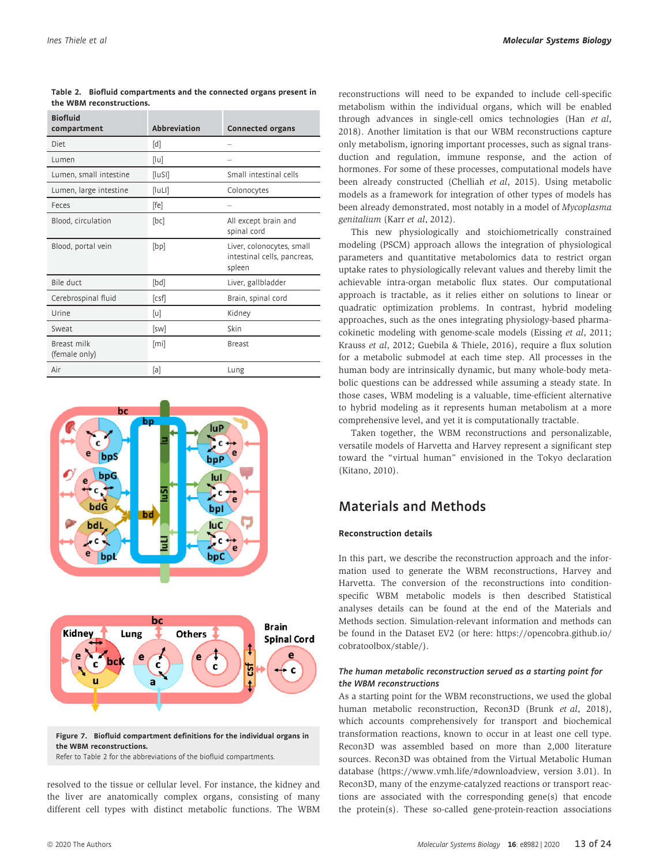Table 2. Biofluid compartments and the connected organs present in the WBM reconstructions.

| <b>Biofluid</b><br>compartment | Abbreviation | <b>Connected organs</b>                                            |
|--------------------------------|--------------|--------------------------------------------------------------------|
| <b>Diet</b>                    | [d]          |                                                                    |
| Lumen                          | [ u]         |                                                                    |
| Lumen, small intestine         | [ uS ]       | Small intestinal cells                                             |
| Lumen, large intestine         | [ uL ]       | Colonocytes                                                        |
| Feces                          | [fe]         |                                                                    |
| Blood, circulation             | [bc]         | All except brain and<br>spinal cord                                |
| Blood, portal vein             | [bp]         | Liver, colonocytes, small<br>intestinal cells, pancreas,<br>spleen |
| Bile duct                      | [bd]         | Liver, gallbladder                                                 |
| Cerebrospinal fluid            | [csf]        | Brain, spinal cord                                                 |
| Urine                          | $[u]$        | Kidney                                                             |
| Sweat                          | [sw]         | Skin                                                               |
| Breast milk<br>(female only)   | [mi]         | <b>Breast</b>                                                      |
| Air                            | [a]          | Lung                                                               |



Figure 7. Biofluid compartment definitions for the individual organs in the WBM reconstructions.

Refer to Table 2 for the abbreviations of the biofluid compartments.

resolved to the tissue or cellular level. For instance, the kidney and the liver are anatomically complex organs, consisting of many different cell types with distinct metabolic functions. The WBM

reconstructions will need to be expanded to include cell-specific metabolism within the individual organs, which will be enabled through advances in single-cell omics technologies (Han et al, 2018). Another limitation is that our WBM reconstructions capture only metabolism, ignoring important processes, such as signal transduction and regulation, immune response, and the action of hormones. For some of these processes, computational models have been already constructed (Chelliah et al, 2015). Using metabolic models as a framework for integration of other types of models has been already demonstrated, most notably in a model of Mycoplasma genitalium (Karr et al, 2012).

This new physiologically and stoichiometrically constrained modeling (PSCM) approach allows the integration of physiological parameters and quantitative metabolomics data to restrict organ uptake rates to physiologically relevant values and thereby limit the achievable intra-organ metabolic flux states. Our computational approach is tractable, as it relies either on solutions to linear or quadratic optimization problems. In contrast, hybrid modeling approaches, such as the ones integrating physiology-based pharmacokinetic modeling with genome-scale models (Eissing et al, 2011; Krauss et al, 2012; Guebila & Thiele, 2016), require a flux solution for a metabolic submodel at each time step. All processes in the human body are intrinsically dynamic, but many whole-body metabolic questions can be addressed while assuming a steady state. In those cases, WBM modeling is a valuable, time-efficient alternative to hybrid modeling as it represents human metabolism at a more comprehensive level, and yet it is computationally tractable.

Taken together, the WBM reconstructions and personalizable, versatile models of Harvetta and Harvey represent a significant step toward the "virtual human" envisioned in the Tokyo declaration (Kitano, 2010).

# Materials and Methods

#### Reconstruction details

In this part, we describe the reconstruction approach and the information used to generate the WBM reconstructions, Harvey and Harvetta. The conversion of the reconstructions into conditionspecific WBM metabolic models is then described Statistical analyses details can be found at the end of the Materials and Methods section. Simulation-relevant information and methods can be found in the Dataset EV2 (or here: https://opencobra.github.io/ cobratoolbox/stable/).

### The human metabolic reconstruction served as a starting point for the WBM reconstructions

As a starting point for the WBM reconstructions, we used the global human metabolic reconstruction, Recon3D (Brunk et al, 2018), which accounts comprehensively for transport and biochemical transformation reactions, known to occur in at least one cell type. Recon3D was assembled based on more than 2,000 literature sources. Recon3D was obtained from the Virtual Metabolic Human database (https://www.vmh.life/#downloadview, version 3.01). In Recon3D, many of the enzyme-catalyzed reactions or transport reactions are associated with the corresponding gene(s) that encode the protein(s). These so-called gene-protein-reaction associations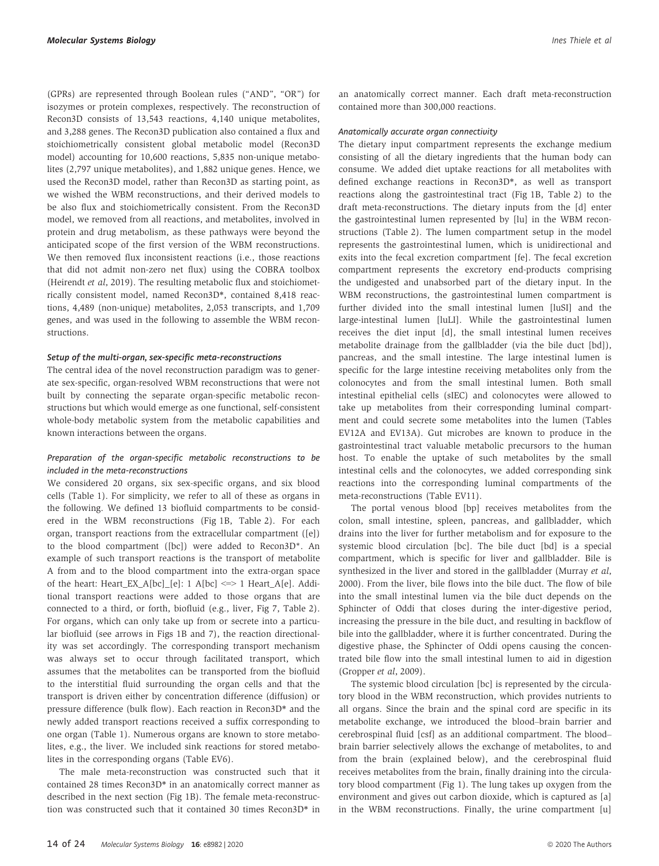(GPRs) are represented through Boolean rules ("AND", "OR") for isozymes or protein complexes, respectively. The reconstruction of Recon3D consists of 13,543 reactions, 4,140 unique metabolites, and 3,288 genes. The Recon3D publication also contained a flux and stoichiometrically consistent global metabolic model (Recon3D model) accounting for 10,600 reactions, 5,835 non-unique metabolites (2,797 unique metabolites), and 1,882 unique genes. Hence, we used the Recon3D model, rather than Recon3D as starting point, as we wished the WBM reconstructions, and their derived models to be also flux and stoichiometrically consistent. From the Recon3D model, we removed from all reactions, and metabolites, involved in protein and drug metabolism, as these pathways were beyond the anticipated scope of the first version of the WBM reconstructions. We then removed flux inconsistent reactions (i.e., those reactions that did not admit non-zero net flux) using the COBRA toolbox (Heirendt et al, 2019). The resulting metabolic flux and stoichiometrically consistent model, named Recon3D\*, contained 8,418 reactions, 4,489 (non-unique) metabolites, 2,053 transcripts, and 1,709 genes, and was used in the following to assemble the WBM reconstructions.

#### Setup of the multi-organ, sex-specific meta-reconstructions

The central idea of the novel reconstruction paradigm was to generate sex-specific, organ-resolved WBM reconstructions that were not built by connecting the separate organ-specific metabolic reconstructions but which would emerge as one functional, self-consistent whole-body metabolic system from the metabolic capabilities and known interactions between the organs.

### Preparation of the organ-specific metabolic reconstructions to be included in the meta-reconstructions

We considered 20 organs, six sex-specific organs, and six blood cells (Table 1). For simplicity, we refer to all of these as organs in the following. We defined 13 biofluid compartments to be considered in the WBM reconstructions (Fig 1B, Table 2). For each organ, transport reactions from the extracellular compartment ([e]) to the blood compartment ([bc]) were added to Recon3D\*. An example of such transport reactions is the transport of metabolite A from and to the blood compartment into the extra-organ space of the heart: Heart\_EX\_A[bc]\_[e]: 1 A[bc] <=> 1 Heart\_A[e]. Additional transport reactions were added to those organs that are connected to a third, or forth, biofluid (e.g., liver, Fig 7, Table 2). For organs, which can only take up from or secrete into a particular biofluid (see arrows in Figs 1B and 7), the reaction directionality was set accordingly. The corresponding transport mechanism was always set to occur through facilitated transport, which assumes that the metabolites can be transported from the biofluid to the interstitial fluid surrounding the organ cells and that the transport is driven either by concentration difference (diffusion) or pressure difference (bulk flow). Each reaction in Recon3D\* and the newly added transport reactions received a suffix corresponding to one organ (Table 1). Numerous organs are known to store metabolites, e.g., the liver. We included sink reactions for stored metabolites in the corresponding organs (Table EV6).

The male meta-reconstruction was constructed such that it contained 28 times Recon3D\* in an anatomically correct manner as described in the next section (Fig 1B). The female meta-reconstruction was constructed such that it contained 30 times Recon3D\* in an anatomically correct manner. Each draft meta-reconstruction contained more than 300,000 reactions.

#### Anatomically accurate organ connectivity

The dietary input compartment represents the exchange medium consisting of all the dietary ingredients that the human body can consume. We added diet uptake reactions for all metabolites with defined exchange reactions in Recon3D\*, as well as transport reactions along the gastrointestinal tract (Fig 1B, Table 2) to the draft meta-reconstructions. The dietary inputs from the [d] enter the gastrointestinal lumen represented by [lu] in the WBM reconstructions (Table 2). The lumen compartment setup in the model represents the gastrointestinal lumen, which is unidirectional and exits into the fecal excretion compartment [fe]. The fecal excretion compartment represents the excretory end-products comprising the undigested and unabsorbed part of the dietary input. In the WBM reconstructions, the gastrointestinal lumen compartment is further divided into the small intestinal lumen [luSI] and the large-intestinal lumen [luLI]. While the gastrointestinal lumen receives the diet input [d], the small intestinal lumen receives metabolite drainage from the gallbladder (via the bile duct [bd]), pancreas, and the small intestine. The large intestinal lumen is specific for the large intestine receiving metabolites only from the colonocytes and from the small intestinal lumen. Both small intestinal epithelial cells (sIEC) and colonocytes were allowed to take up metabolites from their corresponding luminal compartment and could secrete some metabolites into the lumen (Tables EV12A and EV13A). Gut microbes are known to produce in the gastrointestinal tract valuable metabolic precursors to the human host. To enable the uptake of such metabolites by the small intestinal cells and the colonocytes, we added corresponding sink reactions into the corresponding luminal compartments of the meta-reconstructions (Table EV11).

The portal venous blood [bp] receives metabolites from the colon, small intestine, spleen, pancreas, and gallbladder, which drains into the liver for further metabolism and for exposure to the systemic blood circulation [bc]. The bile duct [bd] is a special compartment, which is specific for liver and gallbladder. Bile is synthesized in the liver and stored in the gallbladder (Murray et al, 2000). From the liver, bile flows into the bile duct. The flow of bile into the small intestinal lumen via the bile duct depends on the Sphincter of Oddi that closes during the inter-digestive period, increasing the pressure in the bile duct, and resulting in backflow of bile into the gallbladder, where it is further concentrated. During the digestive phase, the Sphincter of Oddi opens causing the concentrated bile flow into the small intestinal lumen to aid in digestion (Gropper et al, 2009).

The systemic blood circulation [bc] is represented by the circulatory blood in the WBM reconstruction, which provides nutrients to all organs. Since the brain and the spinal cord are specific in its metabolite exchange, we introduced the blood–brain barrier and cerebrospinal fluid [csf] as an additional compartment. The blood– brain barrier selectively allows the exchange of metabolites, to and from the brain (explained below), and the cerebrospinal fluid receives metabolites from the brain, finally draining into the circulatory blood compartment (Fig 1). The lung takes up oxygen from the environment and gives out carbon dioxide, which is captured as [a] in the WBM reconstructions. Finally, the urine compartment [u]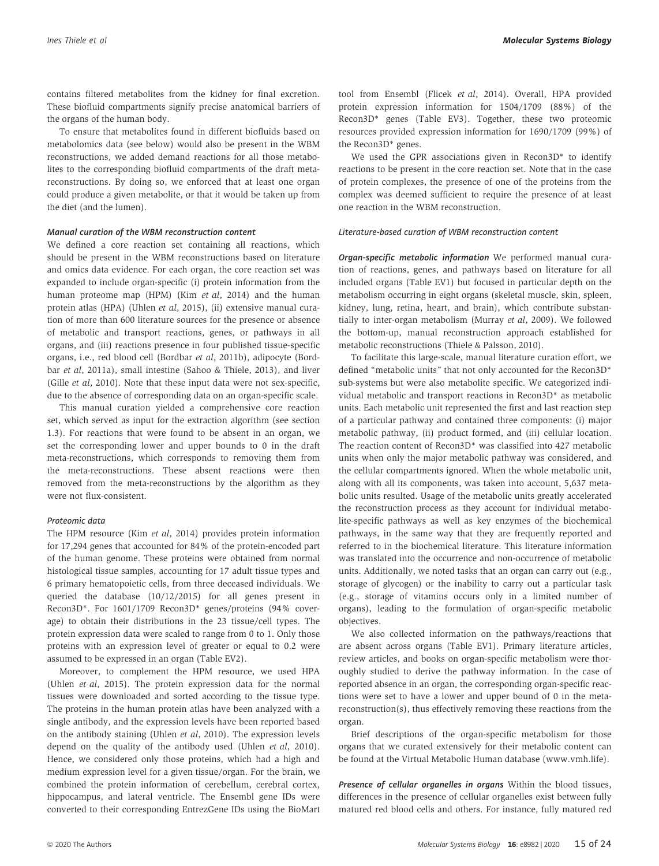contains filtered metabolites from the kidney for final excretion. These biofluid compartments signify precise anatomical barriers of the organs of the human body.

To ensure that metabolites found in different biofluids based on metabolomics data (see below) would also be present in the WBM reconstructions, we added demand reactions for all those metabolites to the corresponding biofluid compartments of the draft metareconstructions. By doing so, we enforced that at least one organ could produce a given metabolite, or that it would be taken up from the diet (and the lumen).

#### Manual curation of the WBM reconstruction content

We defined a core reaction set containing all reactions, which should be present in the WBM reconstructions based on literature and omics data evidence. For each organ, the core reaction set was expanded to include organ-specific (i) protein information from the human proteome map (HPM) (Kim et al, 2014) and the human protein atlas (HPA) (Uhlen et al, 2015), (ii) extensive manual curation of more than 600 literature sources for the presence or absence of metabolic and transport reactions, genes, or pathways in all organs, and (iii) reactions presence in four published tissue-specific organs, i.e., red blood cell (Bordbar et al, 2011b), adipocyte (Bordbar et al, 2011a), small intestine (Sahoo & Thiele, 2013), and liver (Gille et al, 2010). Note that these input data were not sex-specific, due to the absence of corresponding data on an organ-specific scale.

This manual curation yielded a comprehensive core reaction set, which served as input for the extraction algorithm (see section 1.3). For reactions that were found to be absent in an organ, we set the corresponding lower and upper bounds to 0 in the draft meta-reconstructions, which corresponds to removing them from the meta-reconstructions. These absent reactions were then removed from the meta-reconstructions by the algorithm as they were not flux-consistent.

#### Proteomic data

The HPM resource (Kim et al, 2014) provides protein information for 17,294 genes that accounted for 84% of the protein-encoded part of the human genome. These proteins were obtained from normal histological tissue samples, accounting for 17 adult tissue types and 6 primary hematopoietic cells, from three deceased individuals. We queried the database (10/12/2015) for all genes present in Recon3D\*. For 1601/1709 Recon3D\* genes/proteins (94% coverage) to obtain their distributions in the 23 tissue/cell types. The protein expression data were scaled to range from 0 to 1. Only those proteins with an expression level of greater or equal to 0.2 were assumed to be expressed in an organ (Table EV2).

Moreover, to complement the HPM resource, we used HPA (Uhlen et al, 2015). The protein expression data for the normal tissues were downloaded and sorted according to the tissue type. The proteins in the human protein atlas have been analyzed with a single antibody, and the expression levels have been reported based on the antibody staining (Uhlen et al, 2010). The expression levels depend on the quality of the antibody used (Uhlen et al, 2010). Hence, we considered only those proteins, which had a high and medium expression level for a given tissue/organ. For the brain, we combined the protein information of cerebellum, cerebral cortex, hippocampus, and lateral ventricle. The Ensembl gene IDs were converted to their corresponding EntrezGene IDs using the BioMart tool from Ensembl (Flicek et al, 2014). Overall, HPA provided protein expression information for 1504/1709 (88%) of the Recon3D\* genes (Table EV3). Together, these two proteomic resources provided expression information for 1690/1709 (99%) of the Recon3D\* genes.

We used the GPR associations given in Recon3D\* to identify reactions to be present in the core reaction set. Note that in the case of protein complexes, the presence of one of the proteins from the complex was deemed sufficient to require the presence of at least one reaction in the WBM reconstruction.

#### Literature-based curation of WBM reconstruction content

Organ-specific metabolic information We performed manual curation of reactions, genes, and pathways based on literature for all included organs (Table EV1) but focused in particular depth on the metabolism occurring in eight organs (skeletal muscle, skin, spleen, kidney, lung, retina, heart, and brain), which contribute substantially to inter-organ metabolism (Murray et al, 2009). We followed the bottom-up, manual reconstruction approach established for metabolic reconstructions (Thiele & Palsson, 2010).

To facilitate this large-scale, manual literature curation effort, we defined "metabolic units" that not only accounted for the Recon3D\* sub-systems but were also metabolite specific. We categorized individual metabolic and transport reactions in Recon3D\* as metabolic units. Each metabolic unit represented the first and last reaction step of a particular pathway and contained three components: (i) major metabolic pathway, (ii) product formed, and (iii) cellular location. The reaction content of Recon3D\* was classified into 427 metabolic units when only the major metabolic pathway was considered, and the cellular compartments ignored. When the whole metabolic unit, along with all its components, was taken into account, 5,637 metabolic units resulted. Usage of the metabolic units greatly accelerated the reconstruction process as they account for individual metabolite-specific pathways as well as key enzymes of the biochemical pathways, in the same way that they are frequently reported and referred to in the biochemical literature. This literature information was translated into the occurrence and non-occurrence of metabolic units. Additionally, we noted tasks that an organ can carry out (e.g., storage of glycogen) or the inability to carry out a particular task (e.g., storage of vitamins occurs only in a limited number of organs), leading to the formulation of organ-specific metabolic objectives.

We also collected information on the pathways/reactions that are absent across organs (Table EV1). Primary literature articles, review articles, and books on organ-specific metabolism were thoroughly studied to derive the pathway information. In the case of reported absence in an organ, the corresponding organ-specific reactions were set to have a lower and upper bound of 0 in the metareconstruction(s), thus effectively removing these reactions from the organ.

Brief descriptions of the organ-specific metabolism for those organs that we curated extensively for their metabolic content can be found at the Virtual Metabolic Human database (www.vmh.life).

Presence of cellular organelles in organs Within the blood tissues, differences in the presence of cellular organelles exist between fully matured red blood cells and others. For instance, fully matured red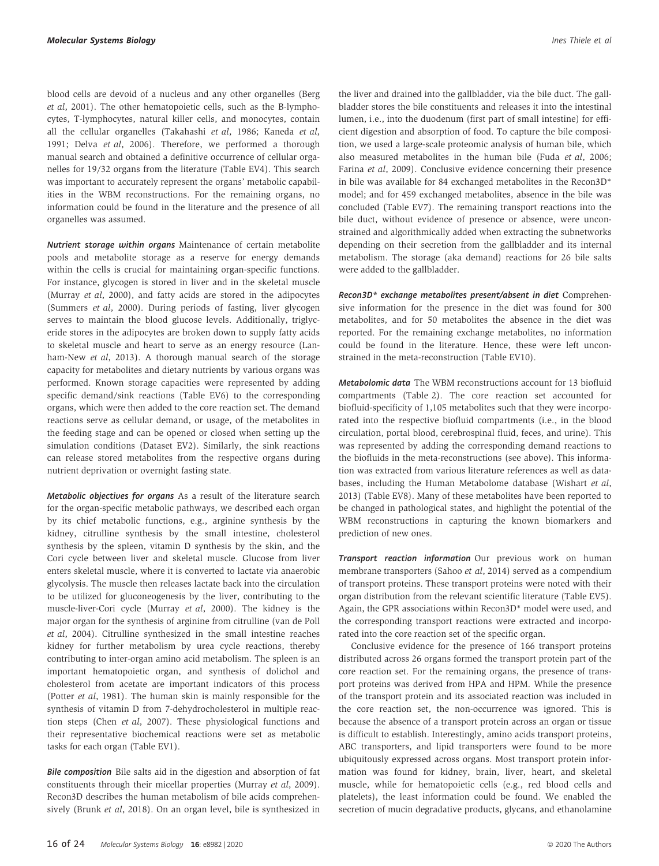blood cells are devoid of a nucleus and any other organelles (Berg et al, 2001). The other hematopoietic cells, such as the B-lymphocytes, T-lymphocytes, natural killer cells, and monocytes, contain all the cellular organelles (Takahashi et al, 1986; Kaneda et al, 1991; Delva et al, 2006). Therefore, we performed a thorough manual search and obtained a definitive occurrence of cellular organelles for 19/32 organs from the literature (Table EV4). This search was important to accurately represent the organs' metabolic capabilities in the WBM reconstructions. For the remaining organs, no information could be found in the literature and the presence of all organelles was assumed.

Nutrient storage within organs Maintenance of certain metabolite pools and metabolite storage as a reserve for energy demands within the cells is crucial for maintaining organ-specific functions. For instance, glycogen is stored in liver and in the skeletal muscle (Murray et al, 2000), and fatty acids are stored in the adipocytes (Summers et al, 2000). During periods of fasting, liver glycogen serves to maintain the blood glucose levels. Additionally, triglyceride stores in the adipocytes are broken down to supply fatty acids to skeletal muscle and heart to serve as an energy resource (Lanham-New *et al*, 2013). A thorough manual search of the storage capacity for metabolites and dietary nutrients by various organs was performed. Known storage capacities were represented by adding specific demand/sink reactions (Table EV6) to the corresponding organs, which were then added to the core reaction set. The demand reactions serve as cellular demand, or usage, of the metabolites in the feeding stage and can be opened or closed when setting up the simulation conditions (Dataset EV2). Similarly, the sink reactions can release stored metabolites from the respective organs during nutrient deprivation or overnight fasting state.

Metabolic objectives for organs As a result of the literature search for the organ-specific metabolic pathways, we described each organ by its chief metabolic functions, e.g., arginine synthesis by the kidney, citrulline synthesis by the small intestine, cholesterol synthesis by the spleen, vitamin D synthesis by the skin, and the Cori cycle between liver and skeletal muscle. Glucose from liver enters skeletal muscle, where it is converted to lactate via anaerobic glycolysis. The muscle then releases lactate back into the circulation to be utilized for gluconeogenesis by the liver, contributing to the muscle-liver-Cori cycle (Murray et al, 2000). The kidney is the major organ for the synthesis of arginine from citrulline (van de Poll et al, 2004). Citrulline synthesized in the small intestine reaches kidney for further metabolism by urea cycle reactions, thereby contributing to inter-organ amino acid metabolism. The spleen is an important hematopoietic organ, and synthesis of dolichol and cholesterol from acetate are important indicators of this process (Potter et al, 1981). The human skin is mainly responsible for the synthesis of vitamin D from 7-dehydrocholesterol in multiple reaction steps (Chen et al, 2007). These physiological functions and their representative biochemical reactions were set as metabolic tasks for each organ (Table EV1).

Bile composition Bile salts aid in the digestion and absorption of fat constituents through their micellar properties (Murray et al, 2009). Recon3D describes the human metabolism of bile acids comprehensively (Brunk et al, 2018). On an organ level, bile is synthesized in the liver and drained into the gallbladder, via the bile duct. The gallbladder stores the bile constituents and releases it into the intestinal lumen, i.e., into the duodenum (first part of small intestine) for efficient digestion and absorption of food. To capture the bile composition, we used a large-scale proteomic analysis of human bile, which also measured metabolites in the human bile (Fuda et al, 2006; Farina et al, 2009). Conclusive evidence concerning their presence in bile was available for 84 exchanged metabolites in the Recon3D\* model; and for 459 exchanged metabolites, absence in the bile was concluded (Table EV7). The remaining transport reactions into the bile duct, without evidence of presence or absence, were unconstrained and algorithmically added when extracting the subnetworks depending on their secretion from the gallbladder and its internal metabolism. The storage (aka demand) reactions for 26 bile salts were added to the gallbladder.

Recon3D\* exchange metabolites present/absent in diet Comprehensive information for the presence in the diet was found for 300 metabolites, and for 50 metabolites the absence in the diet was reported. For the remaining exchange metabolites, no information could be found in the literature. Hence, these were left unconstrained in the meta-reconstruction (Table EV10).

Metabolomic data The WBM reconstructions account for 13 biofluid compartments (Table 2). The core reaction set accounted for biofluid-specificity of 1,105 metabolites such that they were incorporated into the respective biofluid compartments (i.e., in the blood circulation, portal blood, cerebrospinal fluid, feces, and urine). This was represented by adding the corresponding demand reactions to the biofluids in the meta-reconstructions (see above). This information was extracted from various literature references as well as databases, including the Human Metabolome database (Wishart et al, 2013) (Table EV8). Many of these metabolites have been reported to be changed in pathological states, and highlight the potential of the WBM reconstructions in capturing the known biomarkers and prediction of new ones.

Transport reaction information Our previous work on human membrane transporters (Sahoo et al, 2014) served as a compendium of transport proteins. These transport proteins were noted with their organ distribution from the relevant scientific literature (Table EV5). Again, the GPR associations within Recon3D\* model were used, and the corresponding transport reactions were extracted and incorporated into the core reaction set of the specific organ.

Conclusive evidence for the presence of 166 transport proteins distributed across 26 organs formed the transport protein part of the core reaction set. For the remaining organs, the presence of transport proteins was derived from HPA and HPM. While the presence of the transport protein and its associated reaction was included in the core reaction set, the non-occurrence was ignored. This is because the absence of a transport protein across an organ or tissue is difficult to establish. Interestingly, amino acids transport proteins, ABC transporters, and lipid transporters were found to be more ubiquitously expressed across organs. Most transport protein information was found for kidney, brain, liver, heart, and skeletal muscle, while for hematopoietic cells (e.g., red blood cells and platelets), the least information could be found. We enabled the secretion of mucin degradative products, glycans, and ethanolamine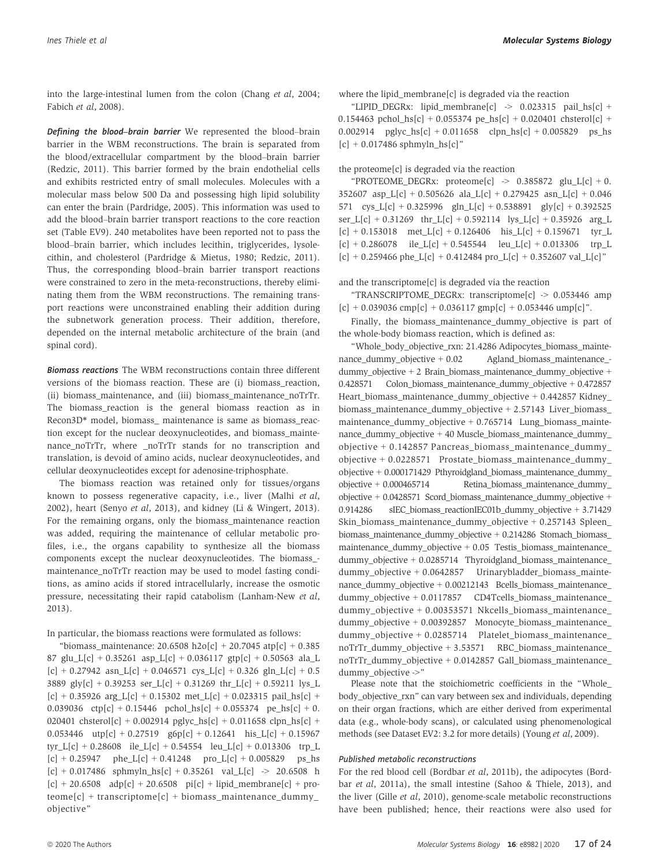into the large-intestinal lumen from the colon (Chang et al, 2004; Fabich et al, 2008).

Defining the blood-brain barrier We represented the blood-brain barrier in the WBM reconstructions. The brain is separated from the blood/extracellular compartment by the blood–brain barrier (Redzic, 2011). This barrier formed by the brain endothelial cells and exhibits restricted entry of small molecules. Molecules with a molecular mass below 500 Da and possessing high lipid solubility can enter the brain (Pardridge, 2005). This information was used to add the blood–brain barrier transport reactions to the core reaction set (Table EV9). 240 metabolites have been reported not to pass the blood–brain barrier, which includes lecithin, triglycerides, lysolecithin, and cholesterol (Pardridge & Mietus, 1980; Redzic, 2011). Thus, the corresponding blood–brain barrier transport reactions were constrained to zero in the meta-reconstructions, thereby eliminating them from the WBM reconstructions. The remaining transport reactions were unconstrained enabling their addition during the subnetwork generation process. Their addition, therefore, depended on the internal metabolic architecture of the brain (and spinal cord).

Biomass reactions The WBM reconstructions contain three different versions of the biomass reaction. These are (i) biomass\_reaction, (ii) biomass\_maintenance, and (iii) biomass\_maintenance\_noTrTr. The biomass\_reaction is the general biomass reaction as in Recon3D\* model, biomass\_ maintenance is same as biomass\_reaction except for the nuclear deoxynucleotides, and biomass\_maintenance\_noTrTr, where \_noTrTr stands for no transcription and translation, is devoid of amino acids, nuclear deoxynucleotides, and cellular deoxynucleotides except for adenosine-triphosphate.

The biomass reaction was retained only for tissues/organs known to possess regenerative capacity, i.e., liver (Malhi et al, 2002), heart (Senyo et al, 2013), and kidney (Li & Wingert, 2013). For the remaining organs, only the biomass\_maintenance reaction was added, requiring the maintenance of cellular metabolic profiles, i.e., the organs capability to synthesize all the biomass components except the nuclear deoxynucleotides. The biomass\_ maintenance\_noTrTr reaction may be used to model fasting conditions, as amino acids if stored intracellularly, increase the osmotic pressure, necessitating their rapid catabolism (Lanham-New et al, 2013).

In particular, the biomass reactions were formulated as follows:

"biomass\_maintenance: 20.6508 h2o[c] + 20.7045 atp[c] + 0.385 87 glu\_L[c] + 0.35261 asp\_L[c] + 0.036117 gtp[c] + 0.50563 ala\_L  $[c] + 0.27942$  asn\_L[c] + 0.046571 cys\_L[c] + 0.326 gln\_L[c] + 0.5 3889 gly[c] + 0.39253 ser\_L[c] + 0.31269 thr\_L[c] + 0.59211 lys\_L  $[c] + 0.35926$  arg\_L[c] + 0.15302 met\_L[c] + 0.023315 pail\_hs[c] + 0.039036 ctp[c] + 0.15446 pchol\_hs[c] + 0.055374 pe\_hs[c] + 0. 020401 chsterol[c] + 0.002914 pglyc\_hs[c] + 0.011658 clpn\_hs[c] + 0.053446 utp[c] + 0.27519 g6p[c] + 0.12641 his\_L[c] + 0.15967 tyr\_L[c] + 0.28608 ile\_L[c] + 0.54554 leu\_L[c] + 0.013306 trp\_L  $[c] + 0.25947$  phe\_L[c] + 0.41248 pro\_L[c] + 0.005829 ps\_hs  $[c] + 0.017486$  sphmyln\_hs $[c] + 0.35261$  val\_L $[c] \rightarrow 20.6508$  h  $[c] + 20.6508$  adp $[c] + 20.6508$  pi $[c] + lipid$ <sub>membrane</sub> $[c] + pro$ teome[c] + transcriptome[c] + biomass\_maintenance\_dummy\_ objective"

where the lipid\_membrane[c] is degraded via the reaction

"LIPID\_DEGRx: lipid\_membrane[c]  $\rightarrow$  0.023315 pail\_hs[c] + 0.154463 pchol\_hs[c] + 0.055374 pe\_hs[c] + 0.020401 chsterol[c] + 0.002914 pglyc\_hs[c] + 0.011658 clpn\_hs[c] + 0.005829 ps\_hs  $[c] + 0.017486$  sphmyln\_hs $[c]$ "

the proteome[c] is degraded via the reaction

"PROTEOME\_DEGRx: proteome $[c] \rightarrow 0.385872$  glu\_L[c] + 0. 352607 asp\_L[c] + 0.505626 ala\_L[c] + 0.279425 asn\_L[c] + 0.046 571 cys\_L[c] + 0.325996 gln\_L[c] + 0.538891 gly[c] + 0.392525 ser L[c] + 0.31269 thr L[c] + 0.592114 lys L[c] + 0.35926 arg L  $[c] + 0.153018$  met\_L $[c] + 0.126406$  his\_L $[c] + 0.159671$  tyr\_L  $[c] + 0.286078$  ile\_L[c] + 0.545544 leu\_L[c] + 0.013306 trp\_L  $[c] + 0.259466$  phe L[c] + 0.412484 pro L[c] + 0.352607 val L[c]"

and the transcriptome[c] is degraded via the reaction

"TRANSCRIPTOME\_DEGRx: transcriptome[c] -> 0.053446 amp  $[c] + 0.039036$  cmp $[c] + 0.036117$  gmp $[c] + 0.053446$  ump $[c]$ ".

Finally, the biomass\_maintenance\_dummy\_objective is part of the whole-body biomass reaction, which is defined as:

"Whole\_body\_objective\_rxn: 21.4286 Adipocytes\_biomass\_maintenance\_dummy\_objective + 0.02 Agland\_biomass\_maintenance\_ dummy\_objective + 2 Brain\_biomass\_maintenance\_dummy\_objective + 0.428571 Colon\_biomass\_maintenance\_dummy\_objective + 0.472857 Heart\_biomass\_maintenance\_dummy\_objective + 0.442857 Kidney\_ biomass\_maintenance\_dummy\_objective + 2.57143 Liver\_biomass\_ maintenance\_dummy\_objective + 0.765714 Lung\_biomass\_maintenance\_dummy\_objective + 40 Muscle\_biomass\_maintenance\_dummy\_ objective + 0.142857 Pancreas\_biomass\_maintenance\_dummy\_ objective + 0.0228571 Prostate\_biomass\_maintenance\_dummy\_ objective + 0.000171429 Pthyroidgland\_biomass\_maintenance\_dummy\_ objective + 0.000465714 Retina\_biomass\_maintenance\_dummy\_ objective + 0.0428571 Scord\_biomass\_maintenance\_dummy\_objective + 0.914286 sIEC\_biomass\_reactionIEC01b\_dummy\_objective + 3.71429 Skin\_biomass\_maintenance\_dummy\_objective + 0.257143 Spleen\_ biomass\_maintenance\_dummy\_objective + 0.214286 Stomach\_biomass\_ maintenance\_dummy\_objective + 0.05 Testis\_biomass\_maintenance\_ dummy\_objective + 0.0285714 Thyroidgland\_biomass\_maintenance\_ dummy\_objective + 0.0642857 Urinarybladder\_biomass\_maintenance\_dummy\_objective + 0.00212143 Bcells\_biomass\_maintenance\_ dummy\_objective +  $0.0117857$  CD4Tcells\_biomass\_maintenance dummy\_objective + 0.00353571 Nkcells\_biomass\_maintenance\_ dummy\_objective + 0.00392857 Monocyte\_biomass\_maintenance\_ dummy\_objective + 0.0285714 Platelet\_biomass\_maintenance\_ noTrTr\_dummy\_objective + 3.53571 RBC\_biomass\_maintenance\_ noTrTr\_dummy\_objective + 0.0142857 Gall\_biomass\_maintenance\_ dummy\_objective ->"

Please note that the stoichiometric coefficients in the "Whole\_ body\_objective\_rxn" can vary between sex and individuals, depending on their organ fractions, which are either derived from experimental data (e.g., whole-body scans), or calculated using phenomenological methods (see Dataset EV2: 3.2 for more details) (Young et al, 2009).

### Published metabolic reconstructions

For the red blood cell (Bordbar et al, 2011b), the adipocytes (Bordbar et al, 2011a), the small intestine (Sahoo & Thiele, 2013), and the liver (Gille et al, 2010), genome-scale metabolic reconstructions have been published; hence, their reactions were also used for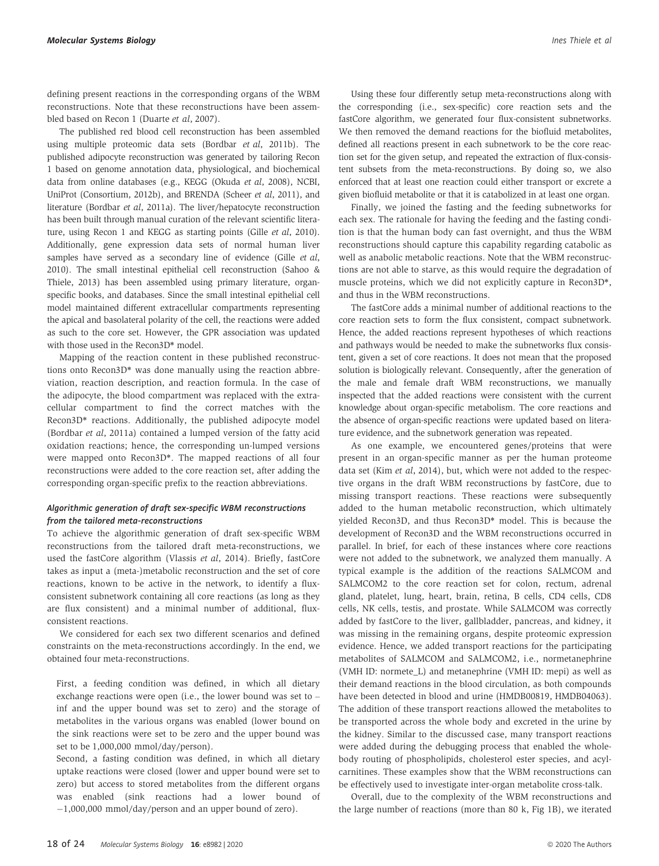defining present reactions in the corresponding organs of the WBM reconstructions. Note that these reconstructions have been assembled based on Recon 1 (Duarte et al, 2007).

The published red blood cell reconstruction has been assembled using multiple proteomic data sets (Bordbar et al, 2011b). The published adipocyte reconstruction was generated by tailoring Recon 1 based on genome annotation data, physiological, and biochemical data from online databases (e.g., KEGG (Okuda et al, 2008), NCBI, UniProt (Consortium, 2012b), and BRENDA (Scheer et al, 2011), and literature (Bordbar et al, 2011a). The liver/hepatocyte reconstruction has been built through manual curation of the relevant scientific literature, using Recon 1 and KEGG as starting points (Gille et al, 2010). Additionally, gene expression data sets of normal human liver samples have served as a secondary line of evidence (Gille et al, 2010). The small intestinal epithelial cell reconstruction (Sahoo & Thiele, 2013) has been assembled using primary literature, organspecific books, and databases. Since the small intestinal epithelial cell model maintained different extracellular compartments representing the apical and basolateral polarity of the cell, the reactions were added as such to the core set. However, the GPR association was updated with those used in the Recon3D\* model.

Mapping of the reaction content in these published reconstructions onto Recon3D\* was done manually using the reaction abbreviation, reaction description, and reaction formula. In the case of the adipocyte, the blood compartment was replaced with the extracellular compartment to find the correct matches with the Recon3D\* reactions. Additionally, the published adipocyte model (Bordbar et al, 2011a) contained a lumped version of the fatty acid oxidation reactions; hence, the corresponding un-lumped versions were mapped onto Recon3D\*. The mapped reactions of all four reconstructions were added to the core reaction set, after adding the corresponding organ-specific prefix to the reaction abbreviations.

### Algorithmic generation of draft sex-specific WBM reconstructions from the tailored meta-reconstructions

To achieve the algorithmic generation of draft sex-specific WBM reconstructions from the tailored draft meta-reconstructions, we used the fastCore algorithm (Vlassis et al, 2014). Briefly, fastCore takes as input a (meta-)metabolic reconstruction and the set of core reactions, known to be active in the network, to identify a fluxconsistent subnetwork containing all core reactions (as long as they are flux consistent) and a minimal number of additional, fluxconsistent reactions.

We considered for each sex two different scenarios and defined constraints on the meta-reconstructions accordingly. In the end, we obtained four meta-reconstructions.

First, a feeding condition was defined, in which all dietary exchange reactions were open (i.e., the lower bound was set to – inf and the upper bound was set to zero) and the storage of metabolites in the various organs was enabled (lower bound on the sink reactions were set to be zero and the upper bound was set to be 1,000,000 mmol/day/person).

Second, a fasting condition was defined, in which all dietary uptake reactions were closed (lower and upper bound were set to zero) but access to stored metabolites from the different organs was enabled (sink reactions had a lower bound of 1,000,000 mmol/day/person and an upper bound of zero).

Using these four differently setup meta-reconstructions along with the corresponding (i.e., sex-specific) core reaction sets and the fastCore algorithm, we generated four flux-consistent subnetworks. We then removed the demand reactions for the biofluid metabolites, defined all reactions present in each subnetwork to be the core reaction set for the given setup, and repeated the extraction of flux-consistent subsets from the meta-reconstructions. By doing so, we also enforced that at least one reaction could either transport or excrete a given biofluid metabolite or that it is catabolized in at least one organ.

Finally, we joined the fasting and the feeding subnetworks for each sex. The rationale for having the feeding and the fasting condition is that the human body can fast overnight, and thus the WBM reconstructions should capture this capability regarding catabolic as well as anabolic metabolic reactions. Note that the WBM reconstructions are not able to starve, as this would require the degradation of muscle proteins, which we did not explicitly capture in Recon3D\*, and thus in the WBM reconstructions.

The fastCore adds a minimal number of additional reactions to the core reaction sets to form the flux consistent, compact subnetwork. Hence, the added reactions represent hypotheses of which reactions and pathways would be needed to make the subnetworks flux consistent, given a set of core reactions. It does not mean that the proposed solution is biologically relevant. Consequently, after the generation of the male and female draft WBM reconstructions, we manually inspected that the added reactions were consistent with the current knowledge about organ-specific metabolism. The core reactions and the absence of organ-specific reactions were updated based on literature evidence, and the subnetwork generation was repeated.

As one example, we encountered genes/proteins that were present in an organ-specific manner as per the human proteome data set (Kim et al, 2014), but, which were not added to the respective organs in the draft WBM reconstructions by fastCore, due to missing transport reactions. These reactions were subsequently added to the human metabolic reconstruction, which ultimately yielded Recon3D, and thus Recon3D\* model. This is because the development of Recon3D and the WBM reconstructions occurred in parallel. In brief, for each of these instances where core reactions were not added to the subnetwork, we analyzed them manually. A typical example is the addition of the reactions SALMCOM and SALMCOM2 to the core reaction set for colon, rectum, adrenal gland, platelet, lung, heart, brain, retina, B cells, CD4 cells, CD8 cells, NK cells, testis, and prostate. While SALMCOM was correctly added by fastCore to the liver, gallbladder, pancreas, and kidney, it was missing in the remaining organs, despite proteomic expression evidence. Hence, we added transport reactions for the participating metabolites of SALMCOM and SALMCOM2, i.e., normetanephrine (VMH ID: normete\_L) and metanephrine (VMH ID: mepi) as well as their demand reactions in the blood circulation, as both compounds have been detected in blood and urine (HMDB00819, HMDB04063). The addition of these transport reactions allowed the metabolites to be transported across the whole body and excreted in the urine by the kidney. Similar to the discussed case, many transport reactions were added during the debugging process that enabled the wholebody routing of phospholipids, cholesterol ester species, and acylcarnitines. These examples show that the WBM reconstructions can be effectively used to investigate inter-organ metabolite cross-talk.

Overall, due to the complexity of the WBM reconstructions and the large number of reactions (more than 80 k, Fig 1B), we iterated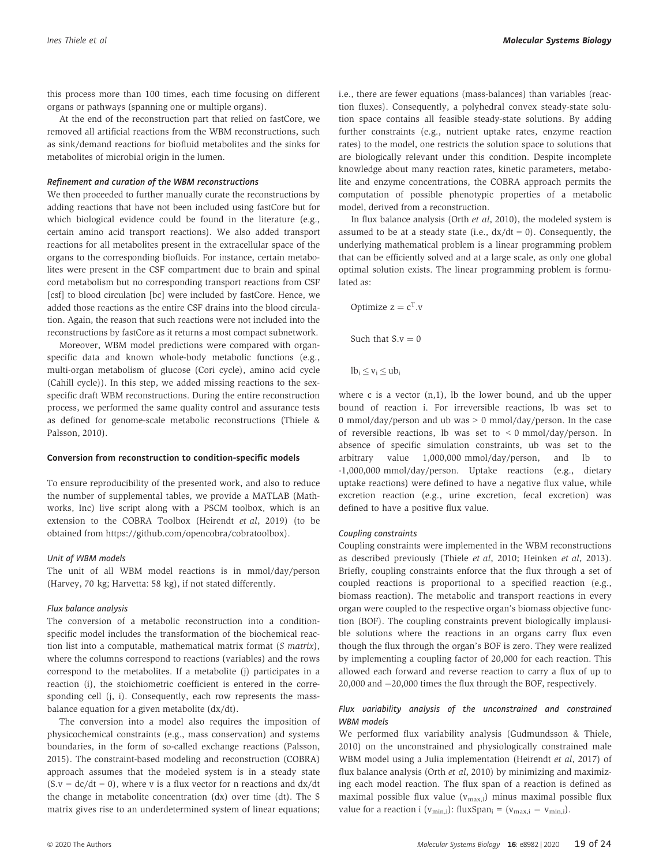this process more than 100 times, each time focusing on different organs or pathways (spanning one or multiple organs).

At the end of the reconstruction part that relied on fastCore, we removed all artificial reactions from the WBM reconstructions, such as sink/demand reactions for biofluid metabolites and the sinks for metabolites of microbial origin in the lumen.

#### Refinement and curation of the WBM reconstructions

We then proceeded to further manually curate the reconstructions by adding reactions that have not been included using fastCore but for which biological evidence could be found in the literature (e.g., certain amino acid transport reactions). We also added transport reactions for all metabolites present in the extracellular space of the organs to the corresponding biofluids. For instance, certain metabolites were present in the CSF compartment due to brain and spinal cord metabolism but no corresponding transport reactions from CSF [csf] to blood circulation [bc] were included by fastCore. Hence, we added those reactions as the entire CSF drains into the blood circulation. Again, the reason that such reactions were not included into the reconstructions by fastCore as it returns a most compact subnetwork.

Moreover, WBM model predictions were compared with organspecific data and known whole-body metabolic functions (e.g., multi-organ metabolism of glucose (Cori cycle), amino acid cycle (Cahill cycle)). In this step, we added missing reactions to the sexspecific draft WBM reconstructions. During the entire reconstruction process, we performed the same quality control and assurance tests as defined for genome-scale metabolic reconstructions (Thiele & Palsson, 2010).

#### Conversion from reconstruction to condition-specific models

To ensure reproducibility of the presented work, and also to reduce the number of supplemental tables, we provide a MATLAB (Mathworks, Inc) live script along with a PSCM toolbox, which is an extension to the COBRA Toolbox (Heirendt et al, 2019) (to be obtained from https://github.com/opencobra/cobratoolbox).

#### Unit of WBM models

The unit of all WBM model reactions is in mmol/day/person (Harvey, 70 kg; Harvetta: 58 kg), if not stated differently.

#### Flux balance analysis

The conversion of a metabolic reconstruction into a conditionspecific model includes the transformation of the biochemical reaction list into a computable, mathematical matrix format (S matrix), where the columns correspond to reactions (variables) and the rows correspond to the metabolites. If a metabolite (j) participates in a reaction (i), the stoichiometric coefficient is entered in the corresponding cell (j, i). Consequently, each row represents the massbalance equation for a given metabolite (dx/dt).

The conversion into a model also requires the imposition of physicochemical constraints (e.g., mass conservation) and systems boundaries, in the form of so-called exchange reactions (Palsson, 2015). The constraint-based modeling and reconstruction (COBRA) approach assumes that the modeled system is in a steady state  $(S.v = dc/dt = 0)$ , where v is a flux vector for n reactions and  $dx/dt$ the change in metabolite concentration (dx) over time (dt). The S matrix gives rise to an underdetermined system of linear equations;

i.e., there are fewer equations (mass-balances) than variables (reaction fluxes). Consequently, a polyhedral convex steady-state solution space contains all feasible steady-state solutions. By adding further constraints (e.g., nutrient uptake rates, enzyme reaction rates) to the model, one restricts the solution space to solutions that are biologically relevant under this condition. Despite incomplete knowledge about many reaction rates, kinetic parameters, metabolite and enzyme concentrations, the COBRA approach permits the computation of possible phenotypic properties of a metabolic model, derived from a reconstruction.

In flux balance analysis (Orth et al, 2010), the modeled system is assumed to be at a steady state (i.e.,  $dx/dt = 0$ ). Consequently, the underlying mathematical problem is a linear programming problem that can be efficiently solved and at a large scale, as only one global optimal solution exists. The linear programming problem is formulated as:

Optimize 
$$
z = c^T \cdot v
$$

Such that  $S_v = 0$ 

 $lb_i \le v_i \le ub_i$ 

where c is a vector (n,1), lb the lower bound, and ub the upper bound of reaction i. For irreversible reactions, lb was set to 0 mmol/day/person and ub was  $>$  0 mmol/day/person. In the case of reversible reactions, lb was set to  $\leq 0$  mmol/day/person. In absence of specific simulation constraints, ub was set to the arbitrary value 1,000,000 mmol/day/person, and lb to -1,000,000 mmol/day/person. Uptake reactions (e.g., dietary uptake reactions) were defined to have a negative flux value, while excretion reaction (e.g., urine excretion, fecal excretion) was defined to have a positive flux value.

#### Coupling constraints

Coupling constraints were implemented in the WBM reconstructions as described previously (Thiele et al, 2010; Heinken et al, 2013). Briefly, coupling constraints enforce that the flux through a set of coupled reactions is proportional to a specified reaction (e.g., biomass reaction). The metabolic and transport reactions in every organ were coupled to the respective organ's biomass objective function (BOF). The coupling constraints prevent biologically implausible solutions where the reactions in an organs carry flux even though the flux through the organ's BOF is zero. They were realized by implementing a coupling factor of 20,000 for each reaction. This allowed each forward and reverse reaction to carry a flux of up to 20,000 and 20,000 times the flux through the BOF, respectively.

### Flux variability analysis of the unconstrained and constrained WBM models

We performed flux variability analysis (Gudmundsson & Thiele, 2010) on the unconstrained and physiologically constrained male WBM model using a Julia implementation (Heirendt et al, 2017) of flux balance analysis (Orth et al, 2010) by minimizing and maximizing each model reaction. The flux span of a reaction is defined as maximal possible flux value (v<sub>max,i</sub>) minus maximal possible flux value for a reaction i  $(v_{min,i})$ : fluxSpan<sub>i</sub> =  $(v_{max,i} - v_{min,i})$ .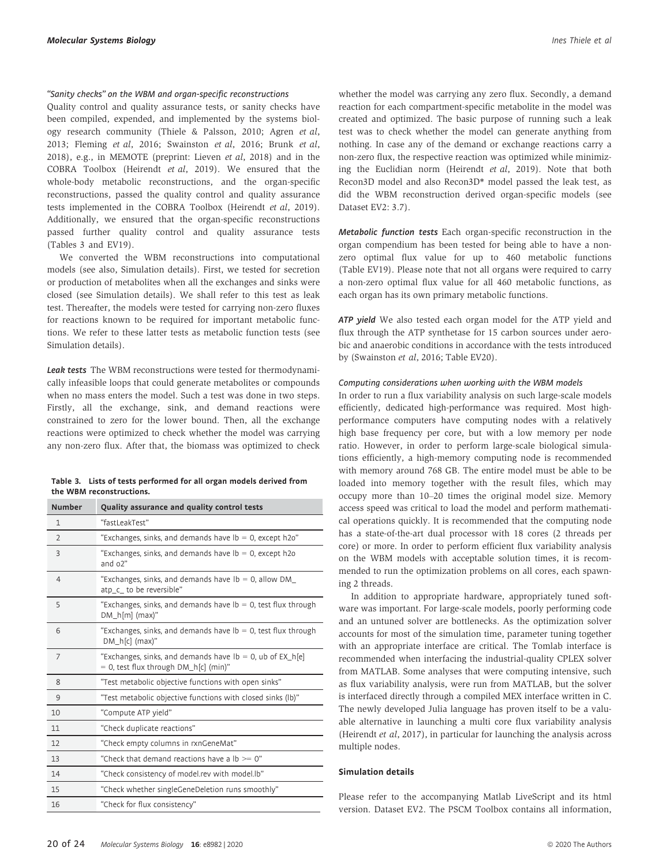#### "Sanity checks" on the WBM and organ-specific reconstructions

Quality control and quality assurance tests, or sanity checks have been compiled, expended, and implemented by the systems biology research community (Thiele & Palsson, 2010; Agren et al, 2013; Fleming et al, 2016; Swainston et al, 2016; Brunk et al, 2018), e.g., in MEMOTE (preprint: Lieven et al, 2018) and in the COBRA Toolbox (Heirendt et al, 2019). We ensured that the whole-body metabolic reconstructions, and the organ-specific reconstructions, passed the quality control and quality assurance tests implemented in the COBRA Toolbox (Heirendt et al, 2019). Additionally, we ensured that the organ-specific reconstructions passed further quality control and quality assurance tests (Tables 3 and EV19).

We converted the WBM reconstructions into computational models (see also, Simulation details). First, we tested for secretion or production of metabolites when all the exchanges and sinks were closed (see Simulation details). We shall refer to this test as leak test. Thereafter, the models were tested for carrying non-zero fluxes for reactions known to be required for important metabolic functions. We refer to these latter tests as metabolic function tests (see Simulation details).

Leak tests The WBM reconstructions were tested for thermodynamically infeasible loops that could generate metabolites or compounds when no mass enters the model. Such a test was done in two steps. Firstly, all the exchange, sink, and demand reactions were constrained to zero for the lower bound. Then, all the exchange reactions were optimized to check whether the model was carrying any non-zero flux. After that, the biomass was optimized to check

| Table 3. Lists of tests performed for all organ models derived from |
|---------------------------------------------------------------------|
| the WBM reconstructions.                                            |

| <b>Number</b>  | Quality assurance and quality control tests                                                              |
|----------------|----------------------------------------------------------------------------------------------------------|
| 1              | "fastLeakTest"                                                                                           |
| $\overline{2}$ | "Exchanges, sinks, and demands have $1b = 0$ , except h2o"                                               |
| 3              | "Exchanges, sinks, and demands have $Ib = 0$ , except h2o<br>and $02"$                                   |
| $\overline{4}$ | "Exchanges, sinks, and demands have $lb = 0$ , allow DM<br>atp c to be reversible"                       |
| 5              | "Exchanges, sinks, and demands have $Ib = 0$ , test flux through<br>$DM_h[m]$ (max)"                     |
| 6              | "Exchanges, sinks, and demands have $Ib = 0$ , test flux through<br>$DM_h[c]$ (max)"                     |
| 7              | "Exchanges, sinks, and demands have $Ib = 0$ , ub of EX h[e]<br>$= 0$ , test flux through DM_h[c] (min)" |
| 8              | "Test metabolic objective functions with open sinks"                                                     |
| 9              | "Test metabolic objective functions with closed sinks (lb)"                                              |
| 10             | "Compute ATP yield"                                                                                      |
| 11             | "Check duplicate reactions"                                                                              |
| 12             | "Check empty columns in rxnGeneMat"                                                                      |
| 13             | "Check that demand reactions have a $ b\rangle = 0$ "                                                    |
| 14             | "Check consistency of model.rev with model.Ib"                                                           |
| 15             | "Check whether singleGeneDeletion runs smoothly"                                                         |
| 16             | "Check for flux consistency"                                                                             |

whether the model was carrying any zero flux. Secondly, a demand reaction for each compartment-specific metabolite in the model was created and optimized. The basic purpose of running such a leak test was to check whether the model can generate anything from nothing. In case any of the demand or exchange reactions carry a non-zero flux, the respective reaction was optimized while minimizing the Euclidian norm (Heirendt et al, 2019). Note that both Recon3D model and also Recon3D\* model passed the leak test, as did the WBM reconstruction derived organ-specific models (see Dataset EV2: 3.7).

Metabolic function tests Each organ-specific reconstruction in the organ compendium has been tested for being able to have a nonzero optimal flux value for up to 460 metabolic functions (Table EV19). Please note that not all organs were required to carry a non-zero optimal flux value for all 460 metabolic functions, as each organ has its own primary metabolic functions.

ATP yield We also tested each organ model for the ATP yield and flux through the ATP synthetase for 15 carbon sources under aerobic and anaerobic conditions in accordance with the tests introduced by (Swainston et al, 2016; Table EV20).

#### Computing considerations when working with the WBM models

In order to run a flux variability analysis on such large-scale models efficiently, dedicated high-performance was required. Most highperformance computers have computing nodes with a relatively high base frequency per core, but with a low memory per node ratio. However, in order to perform large-scale biological simulations efficiently, a high-memory computing node is recommended with memory around 768 GB. The entire model must be able to be loaded into memory together with the result files, which may occupy more than 10–20 times the original model size. Memory access speed was critical to load the model and perform mathematical operations quickly. It is recommended that the computing node has a state-of-the-art dual processor with 18 cores (2 threads per core) or more. In order to perform efficient flux variability analysis on the WBM models with acceptable solution times, it is recommended to run the optimization problems on all cores, each spawning 2 threads.

In addition to appropriate hardware, appropriately tuned software was important. For large-scale models, poorly performing code and an untuned solver are bottlenecks. As the optimization solver accounts for most of the simulation time, parameter tuning together with an appropriate interface are critical. The Tomlab interface is recommended when interfacing the industrial-quality CPLEX solver from MATLAB. Some analyses that were computing intensive, such as flux variability analysis, were run from MATLAB, but the solver is interfaced directly through a compiled MEX interface written in C. The newly developed Julia language has proven itself to be a valuable alternative in launching a multi core flux variability analysis (Heirendt et al, 2017), in particular for launching the analysis across multiple nodes.

### Simulation details

Please refer to the accompanying Matlab LiveScript and its html version. Dataset EV2. The PSCM Toolbox contains all information,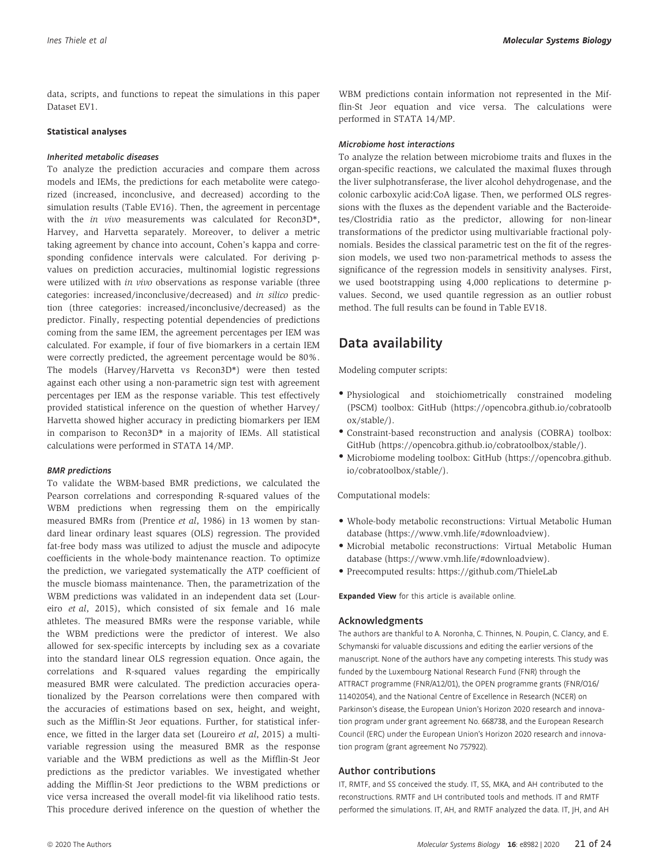data, scripts, and functions to repeat the simulations in this paper Dataset EV1.

#### Statistical analyses

#### Inherited metabolic diseases

To analyze the prediction accuracies and compare them across models and IEMs, the predictions for each metabolite were categorized (increased, inconclusive, and decreased) according to the simulation results (Table EV16). Then, the agreement in percentage with the in vivo measurements was calculated for Recon3D\*, Harvey, and Harvetta separately. Moreover, to deliver a metric taking agreement by chance into account, Cohen's kappa and corresponding confidence intervals were calculated. For deriving pvalues on prediction accuracies, multinomial logistic regressions were utilized with in vivo observations as response variable (three categories: increased/inconclusive/decreased) and in silico prediction (three categories: increased/inconclusive/decreased) as the predictor. Finally, respecting potential dependencies of predictions coming from the same IEM, the agreement percentages per IEM was calculated. For example, if four of five biomarkers in a certain IEM were correctly predicted, the agreement percentage would be 80%. The models (Harvey/Harvetta vs Recon3D\*) were then tested against each other using a non-parametric sign test with agreement percentages per IEM as the response variable. This test effectively provided statistical inference on the question of whether Harvey/ Harvetta showed higher accuracy in predicting biomarkers per IEM in comparison to Recon3D\* in a majority of IEMs. All statistical calculations were performed in STATA 14/MP.

#### BMR predictions

To validate the WBM-based BMR predictions, we calculated the Pearson correlations and corresponding R-squared values of the WBM predictions when regressing them on the empirically measured BMRs from (Prentice et al, 1986) in 13 women by standard linear ordinary least squares (OLS) regression. The provided fat-free body mass was utilized to adjust the muscle and adipocyte coefficients in the whole-body maintenance reaction. To optimize the prediction, we variegated systematically the ATP coefficient of the muscle biomass maintenance. Then, the parametrization of the WBM predictions was validated in an independent data set (Loureiro et al, 2015), which consisted of six female and 16 male athletes. The measured BMRs were the response variable, while the WBM predictions were the predictor of interest. We also allowed for sex-specific intercepts by including sex as a covariate into the standard linear OLS regression equation. Once again, the correlations and R-squared values regarding the empirically measured BMR were calculated. The prediction accuracies operationalized by the Pearson correlations were then compared with the accuracies of estimations based on sex, height, and weight, such as the Mifflin-St Jeor equations. Further, for statistical inference, we fitted in the larger data set (Loureiro et al, 2015) a multivariable regression using the measured BMR as the response variable and the WBM predictions as well as the Mifflin-St Jeor predictions as the predictor variables. We investigated whether adding the Mifflin-St Jeor predictions to the WBM predictions or vice versa increased the overall model-fit via likelihood ratio tests. This procedure derived inference on the question of whether the

WBM predictions contain information not represented in the Mifflin-St Jeor equation and vice versa. The calculations were performed in STATA 14/MP.

#### Microbiome host interactions

To analyze the relation between microbiome traits and fluxes in the organ-specific reactions, we calculated the maximal fluxes through the liver sulphotransferase, the liver alcohol dehydrogenase, and the colonic carboxylic acid:CoA ligase. Then, we performed OLS regressions with the fluxes as the dependent variable and the Bacteroidetes/Clostridia ratio as the predictor, allowing for non-linear transformations of the predictor using multivariable fractional polynomials. Besides the classical parametric test on the fit of the regression models, we used two non-parametrical methods to assess the significance of the regression models in sensitivity analyses. First, we used bootstrapping using 4,000 replications to determine pvalues. Second, we used quantile regression as an outlier robust method. The full results can be found in Table EV18.

# Data availability

Modeling computer scripts:

- Physiological and stoichiometrically constrained modeling (PSCM) toolbox: GitHub (https://opencobra.github.io/cobratoolb ox/stable/).
- Constraint-based reconstruction and analysis (COBRA) toolbox: GitHub (https://opencobra.github.io/cobratoolbox/stable/).
- Microbiome modeling toolbox: GitHub (https://opencobra.github. io/cobratoolbox/stable/).

Computational models:

- Whole-body metabolic reconstructions: Virtual Metabolic Human database (https://www.vmh.life/#downloadview).
- Microbial metabolic reconstructions: Virtual Metabolic Human database (https://www.vmh.life/#downloadview).
- Preecomputed results: https://github.com/ThieleLab

Expanded View for this article is available online.

#### Acknowledgments

The authors are thankful to A. Noronha, C. Thinnes, N. Poupin, C. Clancy, and E. Schymanski for valuable discussions and editing the earlier versions of the manuscript. None of the authors have any competing interests. This study was funded by the Luxembourg National Research Fund (FNR) through the ATTRACT programme (FNR/A12/01), the OPEN programme grants (FNR/O16/ 11402054), and the National Centre of Excellence in Research (NCER) on Parkinson's disease, the European Union's Horizon 2020 research and innovation program under grant agreement No. 668738, and the European Research Council (ERC) under the European Union's Horizon 2020 research and innovation program (grant agreement No 757922).

### Author contributions

IT, RMTF, and SS conceived the study. IT, SS, MKA, and AH contributed to the reconstructions. RMTF and LH contributed tools and methods. IT and RMTF performed the simulations. IT, AH, and RMTF analyzed the data. IT, JH, and AH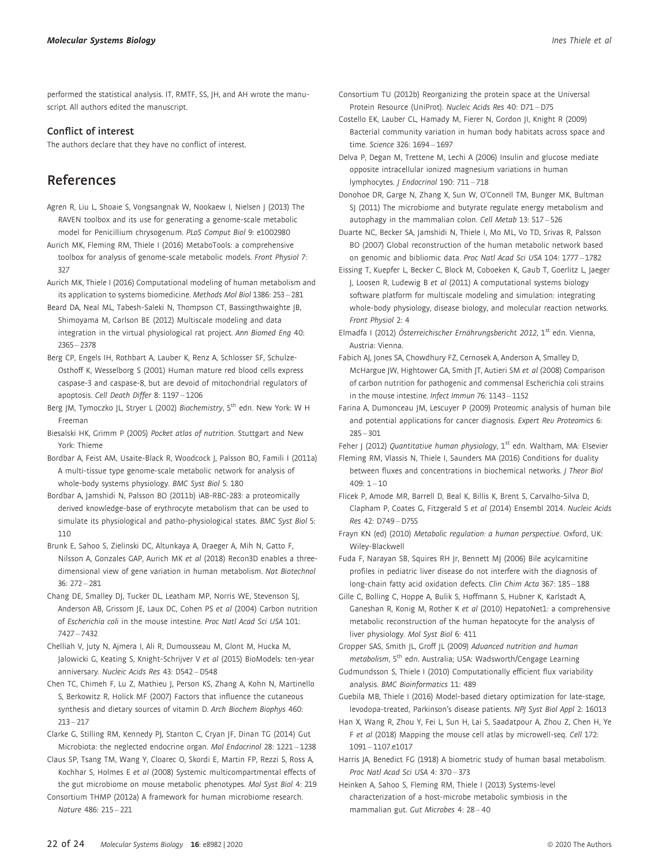performed the statistical analysis. IT, RMTF, SS, JH, and AH wrote the manuscript. All authors edited the manuscript.

### Conflict of interest

The authors declare that they have no conflict of interest.

# References

Agren R, Liu L, Shoaie S, Vongsangnak W, Nookaew I, Nielsen J (2013) The RAVEN toolbox and its use for generating a genome-scale metabolic model for Penicillium chrysogenum. PLoS Comput Biol 9: e1002980

- Aurich MK, Fleming RM, Thiele I (2016) MetaboTools: a comprehensive toolbox for analysis of genome-scale metabolic models. Front Physiol 7: 327
- Aurich MK, Thiele I (2016) Computational modeling of human metabolism and its application to systems biomedicine. Methods Mol Biol 1386: 253 – 281

Beard DA, Neal ML, Tabesh-Saleki N, Thompson CT, Bassingthwaighte JB, Shimoyama M, Carlson BE (2012) Multiscale modeling and data integration in the virtual physiological rat project. Ann Biomed Eng 40: 2365 – 2378

Berg CP, Engels IH, Rothbart A, Lauber K, Renz A, Schlosser SF, Schulze-Osthoff K, Wesselborg S (2001) Human mature red blood cells express caspase-3 and caspase-8, but are devoid of mitochondrial regulators of apoptosis. Cell Death Differ 8: 1197 – 1206

- Berg JM, Tymoczko JL, Stryer L (2002) Biochemistry, 5<sup>th</sup> edn. New York: W H Freeman
- Biesalski HK, Grimm P (2005) Pocket atlas of nutrition. Stuttgart and New York: Thieme

Bordbar A, Feist AM, Usaite-Black R, Woodcock J, Palsson BO, Famili I (2011a) A multi-tissue type genome-scale metabolic network for analysis of whole-body systems physiology. BMC Syst Biol 5: 180

Bordbar A, Jamshidi N, Palsson BO (2011b) iAB-RBC-283: a proteomically derived knowledge-base of erythrocyte metabolism that can be used to simulate its physiological and patho-physiological states. BMC Syst Biol 5: 110

Brunk E, Sahoo S, Zielinski DC, Altunkaya A, Draeger A, Mih N, Gatto F, Nilsson A, Gonzales GAP, Aurich MK et al (2018) Recon3D enables a threedimensional view of gene variation in human metabolism. Nat Biotechnol 36: 272 – 281

Chang DE, Smalley DJ, Tucker DL, Leatham MP, Norris WE, Stevenson SJ, Anderson AB, Grissom JE, Laux DC, Cohen PS et al (2004) Carbon nutrition of Escherichia coli in the mouse intestine. Proc Natl Acad Sci USA 101: 7427 – 7432

Chelliah V, Juty N, Ajmera I, Ali R, Dumousseau M, Glont M, Hucka M, Jalowicki G, Keating S, Knight-Schrijver V et al (2015) BioModels: ten-year anniversary. Nucleic Acids Res 43: D542 – D548

Chen TC, Chimeh F, Lu Z, Mathieu J, Person KS, Zhang A, Kohn N, Martinello S, Berkowitz R, Holick MF (2007) Factors that influence the cutaneous synthesis and dietary sources of vitamin D. Arch Biochem Biophys 460:  $213 - 217$ 

Clarke G, Stilling RM, Kennedy PJ, Stanton C, Cryan JF, Dinan TG (2014) Gut Microbiota: the neglected endocrine organ. Mol Endocrinol 28: 1221 – 1238

Claus SP, Tsang TM, Wang Y, Cloarec O, Skordi E, Martin FP, Rezzi S, Ross A, Kochhar S, Holmes E et al (2008) Systemic multicompartmental effects of the gut microbiome on mouse metabolic phenotypes. Mol Syst Biol 4: 219

Consortium THMP (2012a) A framework for human microbiome research. Nature 486: 215 – 221

- Costello EK, Lauber CL, Hamady M, Fierer N, Gordon JI, Knight R (2009) Bacterial community variation in human body habitats across space and time. Science 326: 1694 – 1697
- Delva P, Degan M, Trettene M, Lechi A (2006) Insulin and glucose mediate opposite intracellular ionized magnesium variations in human lymphocytes. J Endocrinol 190: 711 – 718

Donohoe DR, Garge N, Zhang X, Sun W, O'Connell TM, Bunger MK, Bultman SJ (2011) The microbiome and butyrate regulate energy metabolism and autophagy in the mammalian colon. Cell Metab 13: 517 – 526

Duarte NC, Becker SA, Jamshidi N, Thiele I, Mo ML, Vo TD, Srivas R, Palsson BO (2007) Global reconstruction of the human metabolic network based on genomic and bibliomic data. Proc Natl Acad Sci USA 104: 1777 – 1782

Eissing T, Kuepfer L, Becker C, Block M, Coboeken K, Gaub T, Goerlitz L, Jaeger J, Loosen R, Ludewig B et al (2011) A computational systems biology software platform for multiscale modeling and simulation: integrating whole-body physiology, disease biology, and molecular reaction networks. Front Physiol 2: 4

Elmadfa I (2012) Österreichischer Ernährungsbericht 2012, 1<sup>st</sup> edn. Vienna, Austria: Vienna.

Fabich AJ, Jones SA, Chowdhury FZ, Cernosek A, Anderson A, Smalley D, McHargue JW, Hightower GA, Smith JT, Autieri SM et al (2008) Comparison of carbon nutrition for pathogenic and commensal Escherichia coli strains in the mouse intestine. Infect Immun 76: 1143 – 1152

Farina A, Dumonceau JM, Lescuyer P (2009) Proteomic analysis of human bile and potential applications for cancer diagnosis. Expert Rev Proteomics 6: 285 – 301

Feher J (2012) Quantitative human physiology, 1<sup>st</sup> edn. Waltham, MA: Elsevier

Fleming RM, Vlassis N, Thiele I, Saunders MA (2016) Conditions for duality between fluxes and concentrations in biochemical networks. *J Theor Biol*  $409:1 - 10$ 

Flicek P, Amode MR, Barrell D, Beal K, Billis K, Brent S, Carvalho-Silva D, Clapham P, Coates G, Fitzgerald S et al (2014) Ensembl 2014. Nucleic Acids Res 42: D749 – D755

Frayn KN (ed) (2010) Metabolic regulation: a human perspective. Oxford, UK: Wiley-Blackwell

Fuda F, Narayan SB, Squires RH Jr, Bennett MJ (2006) Bile acylcarnitine profiles in pediatric liver disease do not interfere with the diagnosis of long-chain fatty acid oxidation defects. Clin Chim Acta 367: 185 – 188

Gille C, Bolling C, Hoppe A, Bulik S, Hoffmann S, Hubner K, Karlstadt A, Ganeshan R, Konig M, Rother K et al (2010) HepatoNet1: a comprehensive metabolic reconstruction of the human hepatocyte for the analysis of liver physiology. Mol Syst Biol 6: 411

Gropper SAS, Smith JL, Groff JL (2009) Advanced nutrition and human metabolism, 5<sup>th</sup> edn. Australia; USA: Wadsworth/Cengage Learning

Gudmundsson S, Thiele I (2010) Computationally efficient flux variability analysis. BMC Bioinformatics 11: 489

Guebila MB, Thiele I (2016) Model-based dietary optimization for late-stage, levodopa-treated, Parkinson's disease patients. NPJ Syst Biol Appl 2: 16013

Han X, Wang R, Zhou Y, Fei L, Sun H, Lai S, Saadatpour A, Zhou Z, Chen H, Ye F et al (2018) Mapping the mouse cell atlas by microwell-seq. Cell 172: 1091 – 1107.e1017

Harris JA, Benedict FG (1918) A biometric study of human basal metabolism. Proc Natl Acad Sci USA 4: 370 – 373

Heinken A, Sahoo S, Fleming RM, Thiele I (2013) Systems-level characterization of a host-microbe metabolic symbiosis in the mammalian gut. Gut Microbes 4: 28 – 40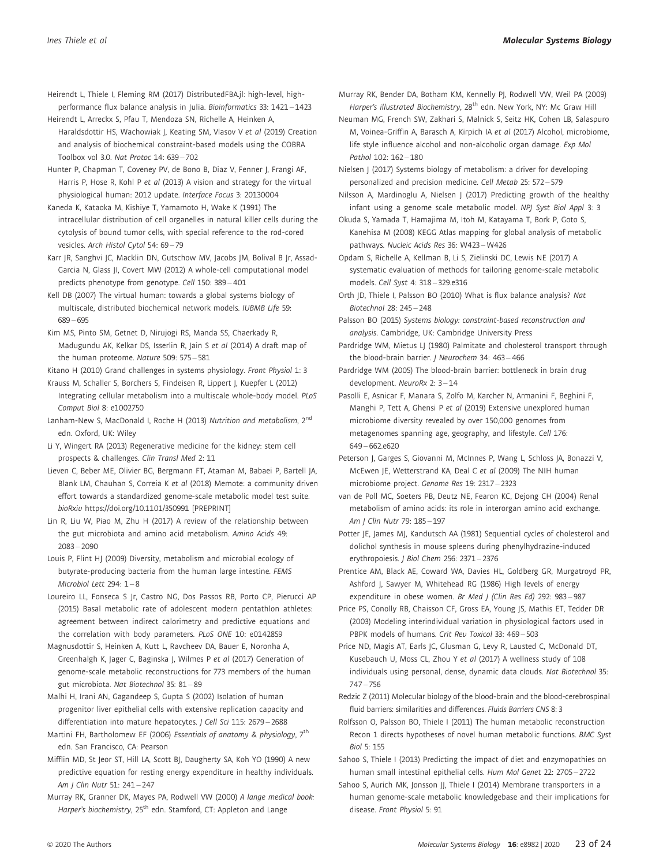- Heirendt L, Thiele I, Fleming RM (2017) DistributedFBA.jl: high-level, highperformance flux balance analysis in Julia. Bioinformatics 33: 1421 – 1423
- Heirendt L, Arreckx S, Pfau T, Mendoza SN, Richelle A, Heinken A, Haraldsdottir HS, Wachowiak J, Keating SM, Vlasov V et al (2019) Creation and analysis of biochemical constraint-based models using the COBRA Toolbox vol 3.0. Nat Protoc 14: 639 – 702
- Hunter P, Chapman T, Coveney PV, de Bono B, Diaz V, Fenner J, Frangi AF, Harris P, Hose R, Kohl P et al (2013) A vision and strategy for the virtual physiological human: 2012 update. Interface Focus 3: 20130004
- Kaneda K, Kataoka M, Kishiye T, Yamamoto H, Wake K (1991) The intracellular distribution of cell organelles in natural killer cells during the cytolysis of bound tumor cells, with special reference to the rod-cored vesicles. Arch Histol Cytol 54: 69 – 79
- Karr JR, Sanghvi JC, Macklin DN, Gutschow MV, Jacobs JM, Bolival B Jr, Assad-Garcia N, Glass JI, Covert MW (2012) A whole-cell computational model predicts phenotype from genotype. Cell 150: 389 – 401
- Kell DB (2007) The virtual human: towards a global systems biology of multiscale, distributed biochemical network models. IUBMB Life 59: 689 – 695
- Kim MS, Pinto SM, Getnet D, Nirujogi RS, Manda SS, Chaerkady R, Madugundu AK, Kelkar DS, Isserlin R, Jain S et al (2014) A draft map of the human proteome. Nature 509: 575 – 581
- Kitano H (2010) Grand challenges in systems physiology. Front Physiol 1: 3
- Krauss M, Schaller S, Borchers S, Findeisen R, Lippert J, Kuepfer L (2012) Integrating cellular metabolism into a multiscale whole-body model. PLoS Comput Biol 8: e1002750
- Lanham-New S, MacDonald I, Roche H (2013) Nutrition and metabolism, 2<sup>nd</sup> edn. Oxford, UK: Wiley
- Li Y, Wingert RA (2013) Regenerative medicine for the kidney: stem cell prospects & challenges. Clin Transl Med 2: 11
- Lieven C, Beber ME, Olivier BG, Bergmann FT, Ataman M, Babaei P, Bartell JA, Blank LM, Chauhan S, Correia K et al (2018) Memote: a community driven effort towards a standardized genome-scale metabolic model test suite. bioRxiv https://doi.org/10.1101/350991 [PREPRINT]
- Lin R, Liu W, Piao M, Zhu H (2017) A review of the relationship between the gut microbiota and amino acid metabolism. Amino Acids 49: 2083 – 2090
- Louis P, Flint HJ (2009) Diversity, metabolism and microbial ecology of butyrate-producing bacteria from the human large intestine. FEMS Microbiol Lett 294: 1 – 8
- Loureiro LL, Fonseca S Jr, Castro NG, Dos Passos RB, Porto CP, Pierucci AP (2015) Basal metabolic rate of adolescent modern pentathlon athletes: agreement between indirect calorimetry and predictive equations and the correlation with body parameters. PLoS ONE 10: e0142859
- Magnusdottir S, Heinken A, Kutt L, Ravcheev DA, Bauer E, Noronha A, Greenhalgh K, Jager C, Baginska J, Wilmes P et al (2017) Generation of genome-scale metabolic reconstructions for 773 members of the human gut microbiota. Nat Biotechnol 35: 81 – 89
- Malhi H, Irani AN, Gagandeep S, Gupta S (2002) Isolation of human progenitor liver epithelial cells with extensive replication capacity and differentiation into mature hepatocytes. J Cell Sci 115: 2679 - 2688
- Martini FH, Bartholomew EF (2006) Essentials of anatomy & physiology, 7<sup>th</sup> edn. San Francisco, CA: Pearson
- Mifflin MD, St Jeor ST, Hill LA, Scott BJ, Daugherty SA, Koh YO (1990) A new predictive equation for resting energy expenditure in healthy individuals. Am J Clin Nutr 51: 241 – 247
- Murray RK, Granner DK, Mayes PA, Rodwell VW (2000) A lange medical book: Harper's biochemistry, 25<sup>th</sup> edn. Stamford, CT: Appleton and Lange
- Murray RK, Bender DA, Botham KM, Kennelly PJ, Rodwell VW, Weil PA (2009) Harper's illustrated Biochemistry, 28<sup>th</sup> edn. New York, NY: Mc Graw Hill
- Neuman MG, French SW, Zakhari S, Malnick S, Seitz HK, Cohen LB, Salaspuro M, Voinea-Griffin A, Barasch A, Kirpich IA et al (2017) Alcohol, microbiome, life style influence alcohol and non-alcoholic organ damage. Exp Mol Pathol 102: 162 – 180
- Nielsen J (2017) Systems biology of metabolism: a driver for developing personalized and precision medicine. Cell Metab 25: 572 – 579
- Nilsson A, Mardinoglu A, Nielsen J (2017) Predicting growth of the healthy infant using a genome scale metabolic model. NPI Syst Biol Appl 3: 3
- Okuda S, Yamada T, Hamajima M, Itoh M, Katayama T, Bork P, Goto S, Kanehisa M (2008) KEGG Atlas mapping for global analysis of metabolic pathways. Nucleic Acids Res 36: W423 – W426
- Opdam S, Richelle A, Kellman B, Li S, Zielinski DC, Lewis NE (2017) A systematic evaluation of methods for tailoring genome-scale metabolic models. Cell Syst 4: 318 – 329.e316
- Orth JD, Thiele I, Palsson BO (2010) What is flux balance analysis? Nat Biotechnol 28: 245 – 248
- Palsson BO (2015) Systems biology: constraint-based reconstruction and analysis. Cambridge, UK: Cambridge University Press
- Pardridge WM, Mietus LJ (1980) Palmitate and cholesterol transport through the blood-brain barrier. J Neurochem 34: 463-466
- Pardridge WM (2005) The blood-brain barrier: bottleneck in brain drug development. NeuroRx 2: 3 – 14
- Pasolli E, Asnicar F, Manara S, Zolfo M, Karcher N, Armanini F, Beghini F, Manghi P, Tett A, Ghensi P et al (2019) Extensive unexplored human microbiome diversity revealed by over 150,000 genomes from metagenomes spanning age, geography, and lifestyle. Cell 176: 649 – 662.e620
- Peterson J, Garges S, Giovanni M, McInnes P, Wang L, Schloss JA, Bonazzi V, McEwen JE, Wetterstrand KA, Deal C et al (2009) The NIH human microbiome project. Genome Res 19: 2317 – 2323
- van de Poll MC, Soeters PB, Deutz NE, Fearon KC, Dejong CH (2004) Renal metabolism of amino acids: its role in interorgan amino acid exchange. Am J Clin Nutr 79: 185 – 197
- Potter JE, James MJ, Kandutsch AA (1981) Sequential cycles of cholesterol and dolichol synthesis in mouse spleens during phenylhydrazine-induced erythropoiesis. J Biol Chem 256: 2371 – 2376
- Prentice AM, Black AE, Coward WA, Davies HL, Goldberg GR, Murgatroyd PR, Ashford J, Sawyer M, Whitehead RG (1986) High levels of energy expenditure in obese women. Br Med J (Clin Res Ed) 292: 983-987
- Price PS, Conolly RB, Chaisson CF, Gross EA, Young JS, Mathis ET, Tedder DR (2003) Modeling interindividual variation in physiological factors used in PBPK models of humans. Crit Rev Toxicol 33: 469 – 503
- Price ND, Magis AT, Earls JC, Glusman G, Levy R, Lausted C, McDonald DT, Kusebauch U, Moss CL, Zhou Y et al (2017) A wellness study of 108 individuals using personal, dense, dynamic data clouds. Nat Biotechnol 35: 747 – 756
- Redzic Z (2011) Molecular biology of the blood-brain and the blood-cerebrospinal fluid barriers: similarities and differences. Fluids Barriers CNS 8: 3
- Rolfsson O, Palsson BO, Thiele I (2011) The human metabolic reconstruction Recon 1 directs hypotheses of novel human metabolic functions. BMC Syst Biol 5: 155
- Sahoo S, Thiele I (2013) Predicting the impact of diet and enzymopathies on human small intestinal epithelial cells. Hum Mol Genet 22: 2705 – 2722
- Sahoo S, Aurich MK, Jonsson JJ, Thiele I (2014) Membrane transporters in a human genome-scale metabolic knowledgebase and their implications for disease. Front Physiol 5: 91